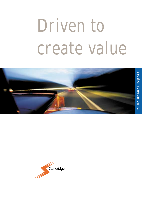# Driven to create value



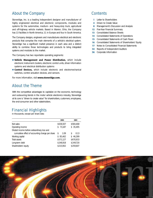# About the Company

Stoneridge, Inc. is a leading independent designer and manufacturer of highly engineered electrical and electronic components, modules and systems for the automotive, medium- and heavy-duty truck, agricultural and off-highway vehicle markets. Based in Warren, Ohio, the Company has 13 facilities in North America, 11 in Europe and four in South America.

The Company designs, engineers and manufactures electrical and electronic products that comprise the main elements of a vehicle's electrical system. Stoneridge has a significant market presence in each area and a distinct ability to combine those technologies and products to bring integrated systems and modules to the market.

The Company has two reportable operating segments:

- **Vehicle Management and Power Distribution,** which include electronic instrument clusters, electronic control units, driver information systems and electrical distribution systems
- **Control Devices,** which include electronic and electromechanical switches, control actuation devices, and sensors.

For more information, visit **www.stoneridge.com.**

# About the Theme

With the competitive advantages to capitalize on the economic, technology and outsourcing trends in the motor vehicle electronics industry, Stoneridge at its core is "driven to create value" for shareholders, customers, employees, the end-consumer and other stakeholders.

# Financial Highlights

In thousands, except per share data

|                                                  | 2002       | 2001                   |
|--------------------------------------------------|------------|------------------------|
| Net sales                                        | \$636,507  | \$584,468              |
| Operating income                                 | \$73,187   | \$35,495               |
| Diluted income before extraordinary loss and     |            |                        |
| cumulative effect of accounting change per share | 1.09<br>S. | 0.13<br>S              |
| Working capital                                  | \$85,462   | 46,399<br>$\mathbb{S}$ |
| Total assets                                     | \$571,127  | \$670,933              |
| Long-term debt                                   | \$248,918  | \$249,720              |
| Shareholders' equity                             | \$215,902  | \$259,607              |

# **Contents**

- **1** Letter to Shareholders
- **4** Driven to Create Value
- **8** Management's Discussion and Analysis
- **12** Five-Year Financial Summary
- **13** Consolidated Balance Sheets
- **14** Consolidated Statements of Operations
- **15** Consolidated Statements of Cash Flows
- **16** Consolidated Statements of Shareholders' Equity
- **17** Notes to Consolidated Financial Statements
- **34** Reports of Independent Auditors
- **36** Corporate Information

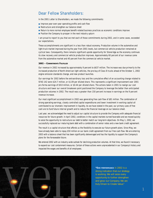# Dear Fellow Shareholders:

In the 2001 Letter to Shareholders, we made the following commitments:

- Improve year-over-year operating profits and cash flow
- Restructure and strengthen our balance sheet
- Return to more normal employee benefit-related business practices as economic conditions improve
- Position the Company to prosper in the next industry upturn

I am proud to report to you that we met each of those commitments during 2002, and in some cases, exceeded our expectations.

These accomplishments are significant in a less than robust economy. Production volume in the automotive and light-truck market improved during the year from 2001 levels, but commercial vehicle production remained at cyclical lows. Consequently, there remains significant upside opportunity for Stoneridge as the economy continues its slow recovery and commercial vehicle production improves. Approximately 60 percent of our revenue came from the automotive market and 40 percent from the commercial vehicle market.

#### **2002 – COMMITMENTS FULFILLED**

Our revenue in 2002 increased by approximately 9 percent to \$637 million. The increase was due primarily to the increased production of North American light vehicles, the pre-buy of Class 8 trucks ahead of the October 1, 2002 engine emission standards change, and new product launches.

Our earnings for 2002 before the extraordinary loss and the cumulative effect of an accounting change related to SFAS 142 were \$24.7 million, or \$1.09 per diluted share. This represents a significant improvement over 2001 pro forma earnings of \$9.8 million, or \$0.44 per diluted share. The actions taken in 2001 to realign our cost structure and lower our overall breakeven point positioned the Company to leverage the better than anticipated production volumes in 2002. The result was a greater than 150 percent increase in earnings on the 9 percent revenue increase.

Our most significant accomplishment in 2002 was generating free cash flow of \$81 million. The combination of strong operating earnings, closely controlled capital expenditures and lower investment in working capital all contributed to our dramatic improvement in liquidity. As we have stated in the past, our primary uses of free cash are to fund future internal growth and to reduce the financial leverage on our balance sheet.

Last year, we acknowledged the need to adjust our capital structure to provide the Company with adequate financial resources for future growth. In April 2002, conditions in the capital markets turned favorable and we moved quickly to seize the opportunity to restructure our debt to better match our long-term objectives. On May 1, 2002, we successfully replaced our maturing bank debt with a combination of senior notes and a new bank credit agreement.

The result is a capital structure that affords us the flexibility to execute our future growth plans. Since May, we have already been able to repay \$50 million on our bank credit agreement from our free cash flow. We are entering 2003 with a balance sheet that has been significantly deleveraged and has the liquidity to support the Company's plans for the foreseeable future.

We entered 2002 with an industry-wide outlook for declining production volumes. At that time, we found it necessary to expand our cost containment measures. Certain of these actions were unprecedented in our Company's history and impacted the wages and benefits of all employees.



**"OUR PERFORMANCE** in 2002 is a strong indication that our strategy is working. We will seize every opportunity to further strengthen and grow our Company. We are truly Driven to Create Value."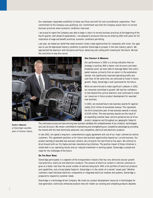Our employees responded unselfishly to these sacrifices and with full and unconditional cooperation. Their commitment to the Company was gratifying. Our commitment was that the Company would return to normal business practices when economic conditions improved.

I am proud to report the Company was able to begin a return to normal business practices at the beginning of the fourth quarter, well ahead of expectations. I am pleased to announce that we are entering 2003 with plans for full restoration of wage and benefit practices, economic conditions permitting.

Last year, we stated our belief that weak economic times create opportunities for companies with vision. Our goal was to use the depressed industry conditions to position Stoneridge to prosper in the next industry upturn. We approached the downturn with discipline and focus, balancing cost-cutting with investing for the future. We had the conviction to stay the course.



#### **OUR STRATEGY IS WORKING**

Our performance in 2002 is a strong indication that our strategy is working. With a leaner cost structure and lower breakeven point, we were able to leverage better than anticipated revenue, primarily from an upturn in the automotive market, into significantly improved operating profits and cash flow. At the same time, we continued to invest in future growth. Today, Stoneridge is well positioned for the future.

While we were forced to make significant cutbacks in 2002, we remained committed to growth. We had the confidence to look beyond the cyclical downturn and continued to invest our resources in future product development for awarded new business.

In 2002, we received future new business awards for approximately \$115 million of annualized revenue. This represents the third consecutive year of new business awards in excess of \$100 million. The new business awards are the result of an expanding customer base, and are spread across all of our product categories and throughout our geographic footprint.

The continued success we have winning new business validates the competitiveness of our products, technologies and cost structure. We remain committed to maintaining and strengthening our competitive advantage by providing the market with the most technically advanced, cost competitive, electrical and electronic products.

In late 2002, we signed a long-term, comprehensive supply agreement with one of our major commercial vehicle customers. This agreement positions us for future new business opportunities beyond our current business. Our product backlog of awarded new business remains very strong for the next three to five years. We continue to drive forward with our Six Sigma and lean manufacturing initiatives. The positive impact of these initiatives is visible both in our operating results and our reduced investment in working capital. Stoneridge is poised and ready for the challenges of the future.

#### **ON THE RIGHT ROAD**

Stoneridge participates in a segment of the transportation industry that has very attractive secular growth characteristics: electrical and electronic products. The amount of electrical content in vehicles continues to grow at a faster rate than the actual number of vehicles being built. With a full portfolio of electrical products and capabilities, and a broad global footprint, Stoneridge is in the center of a market "sweet spot." Whether customers need individual electronic components or integrated electrical modules and systems, Stoneridge is prepared to respond to customer needs.

Stoneridge is a technology-driven Company. We invest our product development resources in technologies for next-generation, technically enhanced products that will render our existing and competing products obsolete.

**CLOYD J. ABRUZZO** *at Stoneridge's assembly plant in Portland, Indiana.*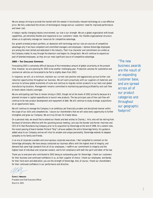We are always striving to provide the market with the newest in functionally relevant technology at a cost-effective price. We fully understand the drivers of technological change and our customers' need for improved performance and lower cost.

In today's rapidly changing industry environment, our size is our strength. We are a global organization with broad capabilities, yet extremely flexible and responsive to our customers' needs. Our flexible organizational structure allows us to optimally manage our resources for competitive advantage.

Our growth-oriented product portfolio, an obsession with technology and our size are sources of competitive advantage only if we have competent and committed managers and employees. I believe Stoneridge employees are among the most skilled and dedicated in the industry. Their true character and commitment are visible as the Company makes its way through the downturn and begins its charge back. We will continue to expand our pool of talented employees, as they are our most significant source of competitive advantage.

#### **2003 – THE CHALLENGE CONTINUES**

Forecasting 2003 is extremely difficult because of the tremendous amount of global uncertainty at the present time. However, we are planning for 2003 to be another challenging year. Production volumes for automotive and commercial vehicles are forecasted to be flat to slightly down from 2002.

In response, we will, at a minimum, maintain our current cost position and aggressively pursue further cost reduction opportunities throughout our business. We will work proactively with our suppliers of materials and services to achieve global economies of scale and continue to migrate certain products to our best-cost global manufacturing locations. Management remains committed to maintaining operating profitability and cash flow at levels above industry averages.

We are anticipating cash flow to remain strong in 2003, though not at the levels of 2002 primarily because of a planned increase in capital expenditures to launch new products. The two principal uses of free cash flow will continue to be new product development and repayment of debt. We will continue to study strategic acquisitions on an opportunistic basis.

We will continue to manage the Company in an ambitious yet financially prudent and disciplined manner within the scope of our skills and competencies. I assure our shareholders that we will seize every opportunity to further strengthen and grow our Company. We are truly *Driven To Create Value.*

On a personal note, we would like to extend our thanks and best wishes to Charles J. Hire, who will be retiring from the board of directors effective with the upcoming annual meeting. Jack was the founder and former chairman and CEO of Hi-Stat Manufacturing Company prior to its acquisition by Stoneridge at the end of 1998. On a solemn note, the recent passing of board member Richard "Skip" LeFauve saddens the entire Stoneridge family. His guidance added value to our Company and we will miss his wisdom and unique personality. Stoneridge extends its deepest sympathy to his family and friends.

In an era of corporate scandals and unscrupulous corporate executives, I feel compelled to comment on the Stoneridge philosophy. We have always conducted our business affairs with the highest level of integrity, and demand that same high standard from all of our employees. I reaffirm our commitment to integrity and the highest level of individual and corporate conduct, and to full compliance with both the spirit and letter of the law.

Thank you to everyone who contributed to 2002 being an outstanding year for Stoneridge. I thank our customers for their business and continued confidence in us, as their supplier of choice. I thank our employees, worldwide, for their hard work and dedication; you are the strength of Stoneridge. And, of course, I thank our shareholders for their continued confidence in our performance and direction.

**CLOYD J. ABRUZZO** *President and Chief Executive Officer March 8, 2003*

*"The new business awards are the result of an expanding customer base, and are spread across all of our product categories and throughout our geographic footprint."*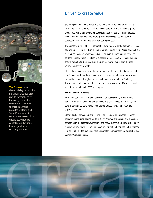

#### **THE COMPANY** has a

distinct ability to combine individual products and use its comprehensive knowledge of vehicle electrical architecture to build integrated modules, systems and "smart" products. Such comprehensive solutions enable Stoneridge to capitalize on the trend toward greater outsourcing by OEMs.

# Driven to create value

Stoneridge is a highly motivated and flexible organization and, at its core, is "driven to create value" for all of its stakeholders. In terms of financial performance, 2002 was a challenging but successful year for Stoneridge and created momentum for the Company's future growth. Stoneridge was particularly successful in generating free cash flow during the year.

The Company aims to align its competitive advantages with the economic, technology and outsourcing trends in the motor vehicle industry. As a "pure-play" vehicle electronics company, Stoneridge is benefiting from the increasing electronics content on motor vehicles, which is expected to increase at a compound annual growth rate of 6 to 8 percent over the next 10 years – faster than the motor vehicle industry as a whole.

Stoneridge's competitive advantages for value creation include a broad product portfolio and customer base, commitment to technological innovation, systems integration capabilities, global reach, and financial strength and flexibility. These attributes helped drive the Company's performance in 2002 and created a platform to build on in 2003 and beyond.

#### **FAR-REACHING CAPABILITIES**

At the foundation of Stoneridge's success is an appropriately broad product portfolio, which includes the four elements of every vehicle's electrical system – control devices, sensors, vehicle management electronics, and power and signal distribution.

Stoneridge has strong and long-lasting relationships with a diverse customer base, which includes leading OEMs in North America and Europe and transplant companies in the automotive, medium- and heavy-duty truck, agricultural and offhighway vehicle markets. The Company's diversity of end-markets and customers is a strength; the top five customers account for approximately 52 percent of the Company's revenue base.

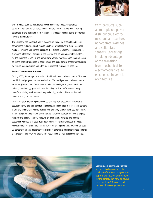

With products such as multiplexed power distribution, electromechanical actuators, non-contact switches and solid-state sensors, Stoneridge is taking advantage of the transition from mechanical to electromechanical to electronics in vehicle architecture.

The Company has a distinct ability to combine individual products and use its comprehensive knowledge of vehicle electrical architecture to build integrated modules, systems and "smart" products. For example, Stoneridge is serving as a systems integrator – designing, engineering and delivering complete systems – for the commercial vehicle and agricultural vehicle markets. Such comprehensive solutions enable Stoneridge to capitalize on the trend toward greater outsourcing by vehicle manufacturers and often make competitive products obsolete.

## **STRONG YEAR FOR NEW BUSINESS**

During 2002, Stoneridge received \$115 million in new business awards. This was the third straight year that the total value of Stoneridge's new business awards exceeded \$100 million. These awards reflect Stoneridge's alignment with the industry's technology growth drivers, including vehicle performance, safety, manufacturability, environmental, dependability, product differentiation and manufacturing cost reduction.

During the year, Stoneridge launched several key new products in the areas of occupant safety and next-generation sensors, and continued to increase its content within the commercial vehicle market. For example, its seat track position sensor, which recognizes the position of the seat to signal the appropriate level of deployment for the airbag, can now be found on more than 20 makes and models of passenger vehicles. Our seat track position sensor helps manufacturers meet Federal Motor Vehicle Safety Standard 208, which requires that, by 2004, at least 20 percent of all new passenger vehicles have automatic passenger airbag suppression systems, and by 2006, they will be required on all new passenger vehicles.

*With products such as multiplexed power distribution, electromechanical actuators, non-contact switches and solid-state sensors, Stoneridge is taking advantage of the transition from mechanical to electromechanical to electronics in vehicle architecture.*



**STONERIDGE'S SEAT TRACK POSITION** sensor, which recognizes the position of the seat to signal the appropriate level of deployment for the airbag, can now be found on more than 20 makes and models of passenger vehicles.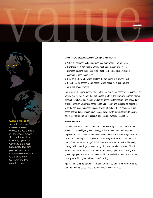

Other "smart" products launched during the year include:

- "Shift-on-demand" technology such as a four-wheel-drive actuator.
- Hardware for a commercial vehicle fleet management system that provides trucking companies with global positioning, diagnostics and communications capabilities.
- Fuel shut-off switch, which disables the fuel pump in a severe crash.
- Speed-bearing sensor, which detects wheel speed for signal input to anti-lock braking system.

Indicative of the many uncertainties in the U.S. and global economy, the commercial vehicle market was slower than anticipated in 2002. The year saw noticeably lower production volumes and slower production schedules for medium- and heavy-duty trucks. However, Stoneridge continued to add content and increase collaboration with the design and engineering departments of its key OEM customers. In some cases, Stoneridge engineers have been co-located with key customers to ensure day-to-day collaboration on product launches and systems integration.

## **GLOBAL GROWTH**

Global expansion to support customers wherever they build vehicles is a key element in Stoneridge's growth strategy. It has also enabled the Company to improve its speed to market and move labor-intensive manufacturing to low-cost locations. The Company's low-cost manufacturing facilities accounted for more than 20 percent of Stoneridge's North American revenue in 2002. Additionally, during 2002, Stoneridge received recognition from Daimler-Chrysler of Brazil as its "Supplier of the Year." Pursuant to its strategic plan, the Company is a global high-quality, low-cost producer, and has a worldwide commitment to the principles of Six Sigma and lean manufacturing.

Approximately 85 percent of Stoneridge's 2002 sales came from North America and the other 15 percent were from outside of North America.

support customers wherever they build vehicles is a key element in Stoneridge's growth strategy. Pursuant to its strategic plan, the Company is a global high-quality, low-cost producer, and has a worldwide commitment to the principles of Six Sigma and lean manufacturing.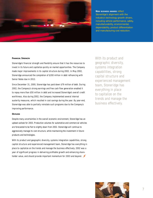

**NEW BUSINESS AWARDS** reflect Stoneridge's alignment with the industry's technology growth drivers, including vehicle performance, safety, manufacturability, environmental, dependability, product differentiation and manufacturing cost reduction.

#### **FINANCIAL STRENGTH**

Stoneridge's financial strength and flexibility ensure that it has the resources to invest in its future and capitalize quickly on market opportunities. The Company made major improvements in its capital structure during 2002. In May 2002, Stoneridge announced the completion of \$200 million in debt refinancing with Senior Notes due in 2012.

Since December 31, 2000, Stoneridge has paid down \$79 million of debt. During 2002, the Company's strong earnings and free cash flow generation enabled it to repay more than \$50 million in debt and increased Stoneridge's overall credit worthiness. Also during 2002, the Company implemented several internal austerity measures, which resulted in cost savings during the year. By year-end, Stoneridge was able to partially reinstate such programs due to the Company's improving performance.

#### **OUTLOOK**

Despite many uncertainties in the overall economic environment, Stoneridge has an upbeat outlook for 2003. Production volumes for automotive and commercial vehicles are forecasted to be flat to slightly down from 2002. Stoneridge will continue to aggressively manage its cost structure, while maintaining the investment in future products and technologies.

With its product and geographic diversity, systems integration capabilities, strong capital structure and experienced management team, Stoneridge has everything in place to capitalize on the trends and manage the business effectively. 2002 was a year of significant progress in delivering profitable growth and enhancing shareholder value, and should provide important momentum for 2003 and beyond.

*With its product and geographic diversity, systems integration capabilities, strong capital structure and experienced management team, Stoneridge has everything in place to capitalize on the trends and manage the business effectively.*

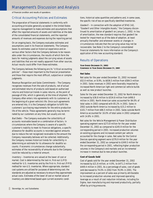# Management's Discussion and Analysis

of financial condition and results of operations

# Critical Accounting Policies and Estimates

The preparation of financial statements in conformity with accounting principles generally accepted in the United States requires management to make estimates and assumptions that affect the reported amounts of assets and liabilities at the date of the consolidated financial statements, and the reported amounts of revenues and expenses during the reporting period.

On an ongoing basis, the Company evaluates estimates and assumptions used in its financial statements. The Company bases its estimates used on historical experience and on various other factors that the Company believes to be reasonable under the circumstances, the results of which form the basis for making judgments about the carrying values of assets and liabilities that are not readily apparent from other sources. Actual results could differ from these estimates.

The Company believes the following are its "critical accounting policies" – those most important to the financial presentation and those that require the most difficult, subjective or complex judgments.

Revenue Recognition and Sales Commitments – The Company recognizes revenues from the sale of products, net of actual and estimated returns of products sold based on authorized returns and historical trends in sales returns, at the point of passage of title, which is generally at the time of shipment. The Company often enters into agreements with its customers at the beginning of a given vehicle's life. Once such agreements are entered into, it is the Company's obligation to fulfill the customers' purchasing requirements for the entire production life of the vehicle. These agreements generally may be terminated by our customers at any time, but usually are not.

Bad Debts – The Company evaluates the collectibility of accounts receivable based on a combination of factors. In circumstances where the Company is aware of a specific customer's inability to meet its financial obligations, a specific allowance for doubtful accounts is recorded against amounts due to reduce the net recognized receivable to the amount the Company reasonably believes will be collected. Additionally, the Company reviews historical trends for collectibility in determining an estimate for its allowance for doubtful accounts. If economic circumstances change substantially, estimates of the recoverability of amounts due to the Company could be reduced by a material amount.

Inventory – Inventories are valued at the lower of cost or market. Cost is determined by the last-in, first-out (LIFO) method for U.S. inventories and by the first-in, first-out (FIFO) method for non-U.S. inventories. Where appropriate, standard cost systems are utilized for purposes of determining cost; the standards are adjusted as necessary to ensure they approximate actual costs. Estimates of the lower of cost or market value of inventory are determined based upon current economic conditions, historical sales quantities and patterns and, in some cases, the specific risk of loss on specifically identified inventories.

Goodwill – In connection with the adoption of SFAS 142, "Goodwill and Other Intangible Assets," the Company discontinued its amortization of goodwill on January 1, 2002. In lieu of amortization, the new standard requires that goodwill be tested for impairment as of the date of adoption, at least annually thereafter and whenever events or changes in circumstances indicate that the carrying value may not be recoverable. See Note 2 to the Company's consolidated financial statements for more information on the Company's application of this new accounting standard.

# Results of Operations

#### **YEAR ENDED DECEMBER 31, 2002 COMPARED TO YEAR ENDED DECEMBER 31, 2001**

# **Net Sales**

Net sales for the year ended December 31, 2002 increased \$52.0 million, or 8.9%, to \$636.5 million from \$584.5 million in 2001. Sales revenues in 2002 were favorably impacted by increased North American light and commercial vehicle builds as well as new product launches.

Sales for the year ended December 31, 2002 for North America increased by \$36.8 million to \$534.8 million from \$498.0 million in 2001. North American sales accounted for 84.0% of total sales in 2002 compared with 85.2% in 2001. Sales in 2002 outside North America increased by \$15.2 million to \$101.7 million from \$86.5 million in 2001. Sales outside North America accounted for 16.0% of total sales in 2002 compared with 14.8% in 2001.

Net sales for the Vehicle Management & Power Distribution operating segment were \$273.8 million for the year ended December 31, 2002 as compared to \$245.9 million for the corresponding period in 2001. Increased production volumes on existing programs and increased content per vehicle accounted for the change in sales. Net sales for the Control Devices operating segment were \$376.9 million for the year ended December 31, 2002 as compared to \$349.5 million for the corresponding period in 2001, reflecting higher production volumes in the Company's end markets and an incremental increase in revenue due to new product launches.

# **Cost of Goods Sold**

Cost of goods sold for the year ended December 31, 2002 increased by \$21.8 million, or 4.9%, to \$471.2 million from \$449.4 million in 2001. As a percentage of sales, cost of goods sold decreased to 74.0% in 2002 from 76.9% in 2001. The improvement as a percent of sales was primarily attributable to increased production volumes and improved operating leverage as a result of cost reduction initiatives, including Six Sigma, lean manufacturing and improved productivity, partially offset by pricing pressures.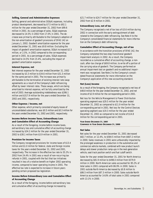# **Selling, General and Administrative Expenses**

Selling, general and administrative (SG&A) expenses, including product development, decreased by \$7.5 million to \$92.1 million for the year ended December 31, 2002 from \$99.6 million in 2001. As a percentage of sales, SG&A expenses decreased to 14.5% in 2002 from 17.0% in 2001. The decrease was primarily attributable to the Company's adoption of the non-amortization of goodwill provisions of SFAS 142 on January 1, 2002. Goodwill amortization expense for the year ended December 31, 2001 was \$9.8 million. Excluding the impact of goodwill amortization expense, SG&A increased \$2.3 million, or 2.5%, in 2002 compared to the corresponding period in 2001. As a percentage of sales, SG&A expenses declined to 14.5% from 15.4%, excluding the impact of goodwill amortization expense.

# **Interest Expense, net**

Net interest expense for the year ended December 31, 2002 increased by \$3.3 million to \$34.6 million from \$31.3 million for the same period in 2001. The increase was primarily attributable to the termination of existing interest rate swap agreements as a result of the Company's debt refinancing, offset by lower interest rates. These swaps, which are being amortized to interest expense, will be fully amortized by the end of 2003. Average outstanding indebtedness was \$286.1 million and \$317.9 million for the years ended December 31, 2002 and 2001, respectively.

## **Other Expense / Income, net**

Other expense, which primarily consisted of equity losses of unconsolidated subsidiaries, was \$0.5 million and \$0.3 million for the years ended December 31, 2002 and 2001, respectively.

# **Income Before Income Taxes, Extraordinary Loss and Cumulative Effect of Accounting Change**

As a result of the foregoing, income before income taxes, extraordinary loss and cumulative effect of accounting change increased by \$34.2 million for the year ended December 31, 2002 to \$38.1 million from \$3.9 million in 2001.

# **Provision for Income Taxes**

The Company recognized provisions for income taxes of \$13.4 million and \$1.0 million for federal, state and foreign income taxes for the years ended December 31, 2002 and 2001, respectively. The increase in the effective tax rate to 35.2% in 2002 from 24.4% in 2001 was a result of non-recurring tax refunds in 2001, coupled with the fact that tax initiatives resulted in less of a relative benefit on higher 2002 operating income, compared to lower operating income in 2001. The effective tax rate is expected to increase in future years pending certain proposed tax legislation.

# **Income Before Extraordinary Loss and Cumulative Effect of Accounting Change**

As a result of the foregoing, income before extraordinary loss and cumulative effect of accounting change increased by

\$21.7 million to \$24.7 million for the year ended December 31, 2002 from \$2.9 million in 2001.

# **Extraordinary Loss, net of tax**

The Company recognized a net of tax loss of \$3.6 million during 2002 in connection with the early extinguishment of debt related to the Company's debt refinancing. See Note 4 to the Company's consolidated financial statements for more information on the Company's debt refinancing.

# **Cumulative Effect of Accounting Change, net of tax**

In accordance with the transition provisions of SFAS 142, the Company completed the two-step transitional goodwill impairment analysis in 2002. As a result, the Company recorded as a cumulative effect of accounting change, a noncash, after-tax charge of \$69.8 million, to write off a portion of the carrying value of goodwill. The Company performed an annual impairment test on goodwill and no additional impairment was recognized. See Note 2 to the Company's consolidated financial statements for more information on the Company's application of this new accounting standard.

# **Net (Loss) Income**

As a result of the foregoing, the Company recognized a net loss of \$48.8 million for the year ended December 31, 2002, and net income of \$2.9 million for the corresponding period in 2001.

Net loss for the Vehicle Management & Power Distribution operating segment was \$29.5 million for the year ended December 31, 2002 as compared to \$11.9 million for the corresponding period in 2001. Net loss for the Control Devices operating segment was \$19.3 million for the year ended December 31, 2002 as compared to net income of \$14.8 million for the corresponding period in 2001.

**YEAR ENDED DECEMBER 31, 2001 COMPARED TO YEAR ENDED DECEMBER 31, 2000**

## **Net Sales**

Net sales for the year ended December 31, 2001 decreased \$82.7 million, or 12.4%, to \$584.5 million from \$667.2 million in 2000. Sales revenues in 2001 were unfavorably impacted by the prolonged weakness in production in the automotive and commercial vehicle markets, combined with new product launch delays and slower production ramp-ups in the next-generation vehicle, seat track position switch and fuel cutoff switch.

Sales for the year ended December 31, 2001 for North America decreased by \$81.9 million to \$498.0 million from \$579.9 million in 2000. North American sales accounted for 85.2% of total sales in 2001 compared with 86.9% in 2000. Sales in 2001 outside North America decreased by \$0.8 million to \$86.5 million from \$87.3 million in 2000. Sales outside North America accounted for 14.8% of total sales in 2001 compared with 13.1% in 2000.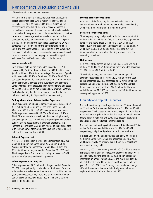# Management's Discussion and Analysis

of financial condition and results of operations

Net sales for the Vehicle Management & Power Distribution operating segment were \$245.9 million for the year ended December 31, 2001 as compared to \$263.0 million for the corresponding period in 2000. The prolonged weakness in production in the automotive and commercial vehicle markets, combined with new product launch delays and slower production ramp-ups in the next-generation vehicle accounted for the decrease. Net sales for the Control Devices operating segment were \$349.5 million for the year ended December 31, 2001 as compared to \$413.8 million for the corresponding period in 2000. The prolonged weakness in production in the automotive and commercial vehicle markets, combined with new product launch delays and slower production ramp-ups in the seat track position switch and fuel cutoff switch accounted for the decrease.

# **Cost of Goods Sold**

Cost of goods sold for the year ended December 31, 2001 decreased by \$46.7 million, or 9.4%, to \$449.4 million from \$496.1 million in 2000. As a percentage of sales, cost of goods sold increased to 76.9% in 2001 from 74.4% in 2000. The corresponding reduction in margin was primarily attributable to the continued weakness of the automotive and commercial vehicle markets, price pressures from our customers, and costs related to pre-production ramp-ups and new program launches. Partially offsetting the aforementioned were cost reduction initiatives including Six Sigma and lean manufacturing.

## **Selling, General and Administrative Expenses**

SG&A expenses, including product development, increased by \$3.6 million to \$99.6 million for the year ended December 31, 2001 from \$95.9 million in 2000. As a percentage of sales, SG&A expenses increased to 17.0% in 2001 from 14.4% in 2000. This increase is primarily attributable to higher design and development costs, which were required predominately to support efforts associated with awarded programs. This increase also includes \$0.6 million related to costs associated with the Company's attempted offering of senior subordinated notes in the third quarter of 2001.

## **Interest Expense, net**

Net interest expense for the year ended December 31, 2001 was \$31.3 million compared with \$29.5 million in 2000. Average outstanding indebtedness was \$317.9 million and \$331.0 million for the years ended December 31, 2001 and 2000, respectively. The cost of borrowing increased in 2001 as a result of an amended credit agreement.

# **Other Expense / Income, net**

Other expense was \$0.3 million for the year ended December 31, 2001, and primarily consisted of equity losses of unconsolidated subsidiaries. Other income was \$1.1 million for the year ended December 31, 2000, and primarily consisted of equity losses of unconsolidated subsidiaries and a gain on sale of idle fixed assets.

#### **Income Before Income Taxes**

As a result of the foregoing, income before income taxes decreased by \$42.9 million for the year ended December 31, 2001 to \$3.9 million from \$46.8 million in 2000.

# **Provision for Income Taxes**

The Company recognized provisions for income taxes of \$1.0 million and \$14.1 million for federal, state and foreign income taxes for the years ended December 31, 2001 and 2000, respectively. The decline in the effective tax rate to 24.4% in 2001 from 30.1% in 2000 was primarily a result of the implementation of certain tax planning strategies and nonrecurring tax refunds.

# **Net Income**

As a result of the foregoing, net income decreased by \$29.8 million, or 91.0%, to \$2.9 million for the year ended December 31, 2001 from \$32.7 million in 2000.

The Vehicle Management & Power Distribution operating segment recognized a net loss of \$11.9 million for the year ended December 31, 2001 compared to \$5.9 million for the corresponding period in 2000. Net income for the Control Devices operating segment was \$14.8 million for the year ended December 31, 2001 as compared to \$38.6 million for the corresponding period in 2000.

# Liquidity and Capital Resources

Net cash provided by operating activities was \$95.6 million and \$62.1 million for the years ended December 31, 2002 and 2001, respectively. The increase in net cash from operating activities of \$33.5 million was primarily attributable to an increase in income before extraordinary loss and cumulative effect of accounting change as well as a reduction in working capital.

Net cash used by investing activities was \$14.3 million and \$23.4 million for the years ended December 31, 2002 and 2001, respectively, and primarily related to capital expenditures.

Net cash used by financing activities was \$59.2 million and \$39.8 million for the years ended December 31, 2002 and 2001, respectively, as improved cash flows from operations were used to repay debt.

On May 1, 2002, the Company issued \$200.0 million aggregate principal amount of senior notes, the proceeds of which were used to repay existing debt. The \$200.0 million notes bear interest at an annual rate of 11.50% and mature on May 1, 2012. Interest is payable on May 1 and November 1 of each year. On July 1, 2002, the Company completed an exchange offer of the senior notes for substantially identical notes registered under the Securities Act of 1933.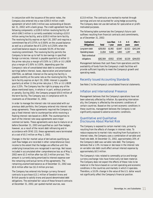In conjunction with the issuance of the senior notes, the Company also entered into a new \$200.0 million credit agreement (of which \$49.3 million was outstanding at December 31, 2002) with a bank group. The credit agreement has the following components: a \$100.0 million revolving facility (of which \$96.5 million is currently available) including a \$10.0 million swing line facility, and a \$100.0 million term facility. The revolving facility expires on April 30, 2007 and requires a commitment fee of 0.375% to 0.500% on the unused balance as well as a utilization fee of 0.125% to 0.250% when the unutilized balance equals or exceeds 50.0% of the total revolving commitment. The revolving facility permits the Company to borrow up to half its borrowings in specified foreign currencies. Interest is payable quarterly at either (i) the prime rate plus a margin of 0.50% to 1.50% or (ii) LIBOR plus a margin of 2.00% to 3.00%, depending upon the Company's ratio of consolidated total debt to consolidated earnings before interest, taxes, depreciation and amortization (EBITDA), as defined. Interest on the swing line facility is payable monthly at the same rate as the revolving facility. The term facility expires on April 30, 2008. Interest is payable quarterly at either (i) the prime rate plus 1.75% or (ii) LIBOR plus 3.25%. The Company has the right to prepay any of the above mentioned loans, in whole or in part, without premium or penalty. During 2002, the Company prepaid \$50.0 million of the term facility. The Company was in compliance with its covenants as of December 31, 2002.

In order to manage the interest rate risk associated with our previous debt portfolio, the Company entered into interest rate swap agreements. These agreements required the Company to pay a fixed interest rate to counterparties while receiving a floating interest rate based on LIBOR. The counterparties to each of the interest rate swap agreements were major commercial banks. These agreements were due to mature on or before December 31, 2003 and qualified as cash flow hedges; however, as a result of the recent debt refinancing and in accordance with SFAS 133, these agreements were terminated at a cost of \$5.3 million on May 1, 2002.

Changes in the fair market value of derivatives qualifying as cash flow hedges are recorded in other comprehensive (loss) income to the extent that the hedges are effective until the underlying transactions are recognized in earnings. Net losses included in accumulated other comprehensive loss as of May 1, 2002 were \$3.3 million after-tax (\$5.3 million pre-tax). This amount is currently being amortized to interest expense over the remaining contractual terms of the agreements. The remaining unamortized balance as of December 31, 2002 was \$0.6 million after-tax (\$1.0 million pre-tax).

The Company has entered into foreign currency forward contracts to purchase \$13.1 million of Swedish krona and British pounds to satisfy krona and pound denominated debt obligations. The estimated fair value of these forward contracts at December 31, 2002, per quoted market sources, was

\$13.8 million. The contracts are marked to market through earnings and are not accounted for using hedge accounting. The Company does not use derivatives for speculative or profitmotivated purposes.

The following table summarizes the Company's future cash outflows resulting from financial contracts and commitments, as of December 31, 2002:

| <b>Contractual</b>      |              | Less than | $1 - 3$ | $4 - 5$ | After 5   |
|-------------------------|--------------|-----------|---------|---------|-----------|
| <b>Obligations:</b>     | <b>Total</b> | 1 vear    | vears   | vears   | vears     |
| Long-term debt          | \$250,910    | \$1.992   | \$3,647 | \$2,022 | \$243.249 |
| <b>Operating leases</b> | 11,654       | 5,660     | 3.893   | 1.297   | 804       |
| Total contractual       |              |           |         |         |           |
| obligations             | \$262,564    | \$7.652   | \$7,540 | \$3,319 | \$244,053 |

Management believes that cash flows from operations and the availability of funds from the Company's credit facilities will provide sufficient liquidity to meet the Company's growth and operating needs.

# Recently Issued Accounting Standards

See Note 2 to the Company's consolidated financial statements.

# Inflation and International Presence

Management believes that the Company's operations have not been adversely affected by inflation. By operating internationally, the Company is affected by the economic conditions of certain countries. Based on the current economic conditions in these countries, management believes the Company is not significantly exposed to adverse economic conditions.

# Quantitative and Qualitative Disclosures About Market Risk

The Company is exposed to certain market risks, primarily resulting from the effects of changes in interest rates. To reduce exposures to market risks resulting from fluctuations in interest rates, the Company uses a combination of variable and fixed rate debt. At December 31, 2002, approximately 20% of the Company's debt was variable rate debt. The Company believes that a 1.0% increase or decrease in the interest rate on variable rate debt could affect annual interest expense by approximately \$0.5 million.

The Company's risks related to commodity price and foreign currency exchange risks have historically not been material. The Company does not expect the effects of these risks to be material in the future based on current operating and economic conditions in the countries and markets in which it operates. Therefore, a 10.0% change in the value of the U.S. dollar would not significantly affect the Company's financial position.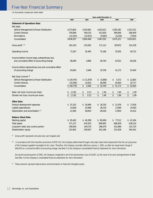# Five-Year Financial Summary

(in thousands, except per share data)

|                                                        | Years ended December 31, |                                 |                                 |                                 |                                 |
|--------------------------------------------------------|--------------------------|---------------------------------|---------------------------------|---------------------------------|---------------------------------|
|                                                        | 2002                     | 2001                            | 2000                            | 1999                            | 1998                            |
| <b>Statement of Operations Data:</b>                   |                          |                                 |                                 |                                 |                                 |
| Net sales:                                             |                          |                                 |                                 |                                 |                                 |
| Vehicle Management & Power Distribution                | \$273,804                | \$245,881                       | \$263,022                       | \$285,381                       | \$323,331                       |
| <b>Control Devices</b>                                 | 376,896                  | 349,510                         | 413,830                         | 399,066                         | 188,409                         |
| Eliminations                                           | (14, 193)                | (10, 923)                       | (9,660)                         | (9,226)                         | (7, 919)                        |
| Consolidated                                           | \$636,507                | \$584,468                       | \$667,192                       | \$675,221                       | \$503,821                       |
| Gross profit <sup>(A)</sup>                            | 165,319                  | 135,082                         | 171,112                         | 187,872                         | 124,239                         |
| Operating income                                       | 73,187                   | 35,495                          | 75,166                          | 97,305                          | 56,722                          |
| Income before income taxes, extraordinary loss         |                          |                                 |                                 |                                 |                                 |
| and cumulative effect of accounting change             | 38,089                   | 3,896                           | 46,794                          | 67,022                          | 56,036                          |
| Income before extraordinary loss and cumulative effect |                          |                                 |                                 |                                 |                                 |
| of accounting change                                   | 24,663                   | 2,946                           | 32,709                          | 41,172                          | 33,400                          |
| Net (loss) income (B)                                  |                          |                                 |                                 |                                 |                                 |
| Vehicle Management & Power Distribution                | \$ (29, 470)             | \$(11, 879)                     | (5,889)<br>\$                   | \$<br>5,572                     | \$12,683                        |
| <b>Control Devices</b>                                 | (19, 308)                | 14,825                          | 38,598                          | 35,600                          | 20,717                          |
| Consolidated                                           | (48, 778)<br>\$          | 2,946<br>\$                     | \$32,709                        | \$41,172                        | \$33,400                        |
| Basic net (loss) income per share                      | (2.18)<br>\$             | \$<br>0.13                      | \$<br>1.46                      | \$<br>1.84                      | \$<br>1.49                      |
| Diluted net (loss) income per share                    | \$<br>(2.16)             | $\overline{\mathsf{s}}$<br>0.13 | $\overline{\mathsf{s}}$<br>1.46 | $\overline{\mathsf{s}}$<br>1.84 | $\overline{\mathsf{s}}$<br>1.49 |
| <b>Other Data:</b>                                     |                          |                                 |                                 |                                 |                                 |
| Product development expenses                           | \$25,332                 | \$26,996                        | 26,750<br>\$                    | \$21,976                        | 17,418<br>\$                    |
| Capital expenditures                                   | 14,656                   | 23,968                          | 28,720                          | 17,589                          | 10,919                          |
| Depreciation and amortization (C)                      | 21,900                   | 28,844                          | 28,026                          | 27,850                          | 14,422                          |
| <b>Balance Sheet Data:</b>                             |                          |                                 |                                 |                                 |                                 |
| Working capital                                        | \$85,462                 | \$46,399                        | \$80,069                        | \$77,112                        | \$42,184                        |
| <b>Total assets</b>                                    | 571,127                  | 670,933                         | 696,995                         | 698,309                         | 638,116                         |
| Long-term debt, less current portion                   | 248,918                  | 249,720                         | 296,079                         | 331,898                         | 322,724                         |
| Shareholders' equity                                   | 215,902                  | 259,607                         | 262,186                         | 231,628                         | 190,542                         |

(A) Gross profit represents net sales less cost of goods sold.

(B) In accordance with the transition provisions of SFAS 142, the Company determined through a two-step impairment assessment that the carrying value of the Company's goodwill exceeded its fair value. Therefore, the Company recorded, effective January 1, 2002, an after-tax impairment charge of \$69,834 as a cumulative effect of accounting change. See Note 2 to the Company's consolidated financial statements for more information.

During the second quarter of 2002, the Company recognized a net of tax extraordinary loss of \$3,607, as the result of an early extinguishment of debt. See Note 4 to the Company's consolidated financial statements for more information.

 $\heartsuit$  These amounts represent depreciation and amortization on fixed and intangible assets.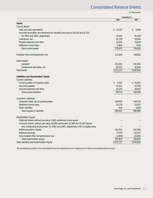# Consolidated Balance Sheets

(in thousands)

|                                                                                   | December 31, |             |
|-----------------------------------------------------------------------------------|--------------|-------------|
|                                                                                   | 2002         | 2001        |
| <b>Assets</b>                                                                     |              |             |
| <b>Current Assets:</b>                                                            |              |             |
| Cash and cash equivalents                                                         | \$27,235     | \$<br>4,369 |
| Accounts receivable, less allowance for doubtful accounts of \$3,020 and \$1,742  |              |             |
| for 2002 and 2001, respectively                                                   | 79,342       | 91,018      |
| Inventories, net                                                                  | 51,139       | 54,504      |
| Prepaid expenses and other                                                        | 12,055       | 19,628      |
| Deferred income taxes                                                             | 5,904        | 7,316       |
| <b>Total current assets</b>                                                       | 175,675      | 176,835     |
| Property, Plant and Equipment, net                                                | 111,838      | 118,061     |
| <b>Other Assets:</b>                                                              |              |             |
| Goodwill                                                                          | 255,292      | 345,392     |
| Investments and other, net                                                        | 28,322       | 30,645      |
| <b>Total Assets</b>                                                               | \$571,127    | \$670,933   |
| Liabilities and Shareholders' Equity<br><b>Current Liabilities:</b>               |              |             |
| Current portion of long-term debt                                                 | \$<br>1,992  | \$41,621    |
| Accounts payable                                                                  | 43,151       | 50,792      |
| Accrued expenses and other                                                        | 45,070       | 38,023      |
| <b>Total current liabilities</b>                                                  | 90,213       | 130,436     |
| Long-Term Liabilities:                                                            |              |             |
| Long-term debt, net of current portion                                            | 248,918      | 249,720     |
| Deferred income taxes                                                             | 15,278       | 24,352      |
| Other liabilities                                                                 | 816          | 6,818       |
| Total long-term liabilities                                                       | 265,012      | 280,890     |
| Shareholders' Equity:                                                             |              |             |
| Preferred shares, without par value, 5,000 authorized, none issued                |              |             |
| Common shares, without par value, 60,000 authorized, 22,399 and 22,397 issued     |              |             |
| and outstanding at December 31, 2002 and 2001, respectively, with no stated value |              |             |
| Additional paid-in capital                                                        | 141,516      | 141,506     |
| Retained earnings                                                                 | 77,379       | 126,157     |
| Accumulated other comprehensive loss                                              | (2,993)      | (8,056)     |
| Total shareholders' equity                                                        | 215,902      | 259,607     |
| Total Liabilities and Shareholders' Equity                                        | \$571,127    | \$670,933   |

The accompanying notes to the consolidated financial statements are an integral part of these consolidated balance sheets.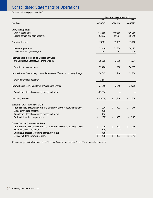# Consolidated Statements of Operations

(in thousands, except per share data)

|                                                                             | For the years ended December 31, |             |              |  |
|-----------------------------------------------------------------------------|----------------------------------|-------------|--------------|--|
|                                                                             | 2002                             | 2001        | 2000         |  |
| <b>Net Sales</b>                                                            | \$636,507                        | \$584,468   | \$667,192    |  |
| <b>Costs and Expenses:</b>                                                  |                                  |             |              |  |
| Cost of goods sold                                                          | 471,188                          | 449,386     | 496,080      |  |
| Selling, general and administrative                                         | 92,132                           | 99,587      | 95,946       |  |
| Operating Income                                                            | 73,187                           | 35,495      | 75,166       |  |
| Interest expense, net                                                       | 34,616                           | 31,308      | 29,492       |  |
| Other expense / (income), net                                               | 482                              | 291         | (1, 120)     |  |
| Income Before Income Taxes, Extraordinary Loss                              |                                  |             |              |  |
| and Cumulative Effect of Accounting Change                                  | 38,089                           | 3,896       | 46,794       |  |
| Provision for income taxes                                                  | 13,426                           | 950         | 14,085       |  |
| Income Before Extraordinary Loss and Cumulative Effect of Accounting Change | 24,663                           | 2,946       | 32,709       |  |
| Extraordinary loss, net of tax                                              | 3,607                            |             |              |  |
| Income Before Cumulative Effect of Accounting Change                        | 21,056                           | 2,946       | 32,709       |  |
| Cumulative effect of accounting change, net of tax                          | (69, 834)                        |             |              |  |
| Net (Loss) Income                                                           | \$ (48,778)                      | \$<br>2,946 | \$<br>32,709 |  |
| Basic Net (Loss) Income per Share:                                          |                                  |             |              |  |
| Income before extraordinary loss and cumulative effect of accounting change | \$<br>1.10                       | \$<br>0.13  | \$<br>1.46   |  |
| Extraordinary loss, net of tax                                              | (0.16)                           |             |              |  |
| Cumulative effect of accounting change, net of tax                          | (3.12)                           |             |              |  |
| Basic net (loss) income per share                                           | \$<br>(2.18)                     | \$<br>0.13  | \$<br>1.46   |  |
| Diluted Net (Loss) Income per Share:                                        |                                  |             |              |  |
| Income before extraordinary loss and cumulative effect of accounting change | \$<br>1.09                       | \$<br>0.13  | \$<br>1.46   |  |
| Extraordinary loss, net of tax                                              | (0.16)                           |             |              |  |
| Cumulative effect of accounting change, net of tax                          | (3.09)                           |             |              |  |
| Diluted net (loss) income per share                                         | \$<br>(2.16)                     | \$<br>0.13  | \$<br>1.46   |  |

The accompanying notes to the consolidated financial statements are an integral part of these consolidated statements.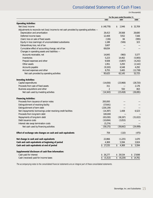# Consolidated Statements of Cash Flows

(in thousands)

|                                                                                           | For the years ended December 31, |                  |                 |
|-------------------------------------------------------------------------------------------|----------------------------------|------------------|-----------------|
|                                                                                           | 2002                             | 2001             | 2000            |
| <b>Operating Activities:</b>                                                              |                                  |                  |                 |
| Net (loss) income                                                                         | \$ (48,778)                      | 2,946<br>\$      | 32,709<br>\$    |
| Adjustments to reconcile net (loss) income to net cash provided by operating activities - |                                  |                  |                 |
| Depreciation and amortization                                                             | 26,413                           | 29,568           | 28,680          |
| Deferred income taxes                                                                     | 12,408                           | 7,052            | 7,166           |
| (Gain) loss on sale of fixed assets                                                       | (136)                            | 84               | (995)           |
| Equity in loss (earnings) of unconsolidated subsidiaries                                  | 1,188                            | (506)            | 323             |
| Extraordinary loss, net of tax                                                            | 3,607                            |                  |                 |
| Cumulative effect of accounting change, net of tax                                        | 69,834                           |                  |                 |
| Changes in operating assets and liabilities -                                             |                                  |                  |                 |
| Accounts receivable, net                                                                  | 14,845                           | (960)            | 5,577           |
| Inventories                                                                               | 5,223                            | 14,462           | (5,905)         |
| Prepaid expenses and other                                                                | 9,508                            | (3,807)          | (4,242)         |
| Other assets                                                                              | 1,951                            | 3,293            | (2, 142)        |
| Accounts payable                                                                          | (9, 193)                         | 6,548            | 4,292           |
| Accrued expenses and other                                                                | 8,755                            | 3,465            | (12, 738)       |
| Net cash provided by operating activities                                                 | 95,625                           | 62,145           | 52,725          |
|                                                                                           |                                  |                  |                 |
| <b>Investing Activities:</b>                                                              |                                  |                  |                 |
| Capital expenditures<br>Proceeds from sale of fixed assets                                | (14,656)                         | (23,968)         | (28, 720)       |
|                                                                                           | 311                              |                  | 2,176           |
| Business acquisitions and other<br>Net cash used by investing activities                  | 2<br>(14, 343)                   | 550<br>(23, 418) | 463<br>(26,081) |
|                                                                                           |                                  |                  |                 |
| <b>Financing Activities:</b>                                                              |                                  |                  |                 |
| Proceeds from issuance of senior notes                                                    | 200,000                          |                  |                 |
| Extinguishment of revolving facility                                                      | (37,641)                         |                  |                 |
| Extinguishment of term debt                                                               | (226, 139)                       |                  |                 |
| Net (repayments) borrowings under revolving credit facilities                             | (14, 397)                        | 1,408            | 6,523           |
| Proceeds from long-term debt                                                              | 100,000                          |                  |                 |
| Repayments of long-term debt                                                              | (65,030)                         | (38, 197)        | (31, 022)       |
| Debt issuance costs                                                                       | (10,694)                         | (3,053)          |                 |
| Interest rate swap termination costs                                                      | (5, 274)                         |                  |                 |
| Net cash used by financing activities                                                     | (59, 175)                        | (39, 842)        | (24, 499)       |
| Effect of exchange rate changes on cash and cash equivalents                              | 759                              | (110)            | (475)           |
| Net change in cash and cash equivalents                                                   | 22,866                           | (1, 225)         | 1,670           |
| Cash and cash equivalents at beginning of period                                          | 4,369                            | 5,594            | 3,924           |
| Cash and cash equivalents at end of period                                                | \$27,235                         | 4,369<br>\$      | 5,594<br>\$     |
| Supplemental disclosure of cash flow information:                                         |                                  |                  |                 |
| Cash paid for interest                                                                    | 26,277<br>\$                     | \$29,534         | 27,698<br>\$    |
| Cash (received) paid for income taxes                                                     | (5, 313)<br>\$                   | (9,229)<br>\$    | \$<br>14,761    |

The accompanying notes to the consolidated financial statements are an integral part of these consolidated statements.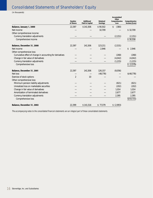# Consolidated Statements of Shareholders' Equity

(in thousands)

|                                                           | <b>Number</b><br>of Shares | <b>Additional</b><br><b>Paid-In Capital</b> | <b>Retained</b><br><b>Earnings</b> | <b>Accumulated</b><br><b>Other</b><br><b>Comprehensive</b><br>Loss | <b>Comprehensive</b><br>Income/(Loss) |
|-----------------------------------------------------------|----------------------------|---------------------------------------------|------------------------------------|--------------------------------------------------------------------|---------------------------------------|
| Balance, January 1, 2000                                  | 22,397                     | \$141,506                                   | \$90,502                           | (380)<br>\$                                                        |                                       |
| Net income                                                |                            |                                             | 32,709                             |                                                                    | \$32,709                              |
| Other comprehensive income:                               |                            |                                             |                                    |                                                                    |                                       |
| Currency translation adjustments                          |                            |                                             |                                    | (2, 151)                                                           | (2, 151)                              |
| Comprehensive income                                      |                            |                                             |                                    |                                                                    | \$30,558                              |
| <b>Balance, December 31, 2000</b>                         | 22,397                     | 141,506                                     | 123,211                            | (2,531)                                                            |                                       |
| Net income                                                |                            |                                             | 2,946                              |                                                                    | \$<br>2,946                           |
| Other comprehensive loss:                                 |                            |                                             |                                    |                                                                    |                                       |
| Cumulative effect of change in accounting for derivatives |                            |                                             |                                    | (268)                                                              | (268)                                 |
| Change in fair value of derivatives                       |                            |                                             |                                    | (4,042)                                                            | (4,042)                               |
| Currency translation adjustments                          |                            |                                             |                                    | (1, 215)                                                           | (1, 215)                              |
| Comprehensive loss                                        |                            |                                             |                                    |                                                                    | (2,579)<br>\$                         |
| <b>Balance, December 31, 2001</b>                         | 22,397                     | 141,506                                     | 126,157                            | (8,056)                                                            |                                       |
| Net loss                                                  |                            |                                             | (48, 778)                          |                                                                    | \$(48,778)                            |
| Exercise of stock options                                 | $\overline{2}$             | 10 <sup>10</sup>                            |                                    |                                                                    |                                       |
| Other comprehensive loss:                                 |                            |                                             |                                    |                                                                    |                                       |
| Minimum pension liability adjustments                     |                            |                                             |                                    | (821)                                                              | (821)                                 |
| Unrealized loss on marketable securities                  |                            |                                             |                                    | (202)                                                              | (202)                                 |
| Change in fair value of derivatives                       |                            |                                             |                                    | 1,014                                                              | 1,014                                 |
| Amortization of terminated derivatives                    |                            |                                             |                                    | 2,677                                                              | 2,677                                 |
| Currency translation adjustments                          |                            |                                             |                                    | 2,395                                                              | 2,395                                 |
| Comprehensive loss                                        |                            |                                             |                                    |                                                                    | \$(43,715)                            |
| <b>Balance, December 31, 2002</b>                         | 22,399                     | \$141,516                                   | \$77,379                           | \$(2,993)                                                          |                                       |

The accompanying notes to the consolidated financial statements are an integral part of these consolidated statements.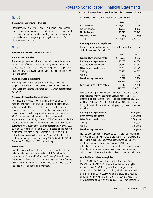# Note 1

# **ORGANIZATION AND NATURE OF BUSINESS**

Stoneridge, Inc. (Stoneridge) and its subsidiaries are independent designers and manufacturers of engineered electrical and electronic components, modules and systems for the automotive, medium- and heavy-duty truck, agricultural and offhighway vehicle markets.

# Note 2

#### **SUMMARY OF SIGNIFICANT ACCOUNTING POLICIES**

# **Basis of Presentation**

The accompanying consolidated financial statements include the accounts of Stoneridge and its wholly owned and majorityowned subsidiaries (collectively, the Company). All significant intercompany transactions and balances have been eliminated in consolidation.

# **Cash and Cash Equivalents**

The Company considers all short-term investments with original maturities of three months or less to be cash equivalents. Cash equivalents are stated at cost, which approximates fair value.

## **Accounts Receivable Concentrations**

Revenues are principally generated from the automotive, medium- and heavy-duty truck, agricultural and off-highway vehicle markets. Due to the nature of these industries, a significant portion of sales and related accounts receivable are concentrated in a relatively small number of customers. In 2002, the top four customers individually accounted for approximately 13%, 13%, 10% and 10% of net sales, while the top five customers accounted for 52% of net sales. The top four customers individually accounted for approximately 14%, 13%, 12% and 12% of the Company's 2001 net sales, and its top five customers accounted for approximately 57% of its 2001 net sales. Accounts receivable from the Company's five largest customers aggregated approximately \$30,363 and \$48,529 at December 31, 2002 and 2001, respectively.

# **Inventories**

Inventories are valued at the lower of cost or market. Cost is determined using the last-in, first-out (LIFO) method for approximately 73% and 74% of the Company's inventories at December 31, 2002 and 2001, respectively, and by the first-in, first-out (FIFO) method for all other inventories. Inventory cost includes material, labor and overhead.

Inventories consist of the following at December 31:

(in thousands, except share and per share data, unless otherwise indicated)

|                    | 2002   | 2001   |
|--------------------|--------|--------|
| Raw materials      | 28,157 | 35,488 |
| Work in progress   | 10.229 | 8.192  |
| Finished goods     | 13,313 | 11,142 |
| Less: LIFO reserve | (560)  | (318)  |
| Total              | 51,139 | 54,504 |

# **Property, Plant and Equipment**

Property, plant and equipment are recorded at cost and consist of the following at December 31:

|                                | 2002        | 2001        |
|--------------------------------|-------------|-------------|
| Land and land improvements     | 5,583<br>\$ | 5,552<br>\$ |
| Buildings and improvements     | 45,003      | 44,730      |
| Machinery and equipment        | 99,711      | 93,041      |
| Office furniture and fixtures  | 26,205      | 23,925      |
| Tooling                        | 50,436      | 48,313      |
| <b>Vehicles</b>                | 668         | 862         |
| Leasehold improvements         | 1,249       | 1,106       |
|                                | 228,855     | 217,529     |
| Less: Accumulated depreciation | 117,017     | 99,468      |
|                                | \$111,838   | \$118,061   |

Depreciation is provided by both the straight-line and accelerated methods over the estimated useful lives of the assets. Depreciation expense for the years ended December 31, 2002, 2001 and 2000 was \$21,083, \$18,664 and \$18,218, respec-

tively. Depreciable lives within each property classification are as follows:

| <b>Buildings and improvements</b> | 10-40 years |
|-----------------------------------|-------------|
| Machinery and equipment           | 5-10 years  |
| Office furniture and fixtures     | 3-10 years  |
| Tooling                           | 2-5 years   |
| <b>Vehicles</b>                   | 3-5 years   |
| Leasehold improvements            | 3-8 years   |

Maintenance and repair expenditures that are not considered improvements and do not extend the useful life of property are charged to expense as incurred. Expenditures for improvements and major renewals are capitalized. When assets are retired or otherwise disposed of, the related cost and accumulated depreciation are removed from the accounts, and any gain or loss on the disposition is credited or charged to income.

# **Goodwill and Other Intangibles**

In July 2001, the Financial Accounting Standards Board (FASB) issued SFAS 142, "Goodwill and Other Intangible Assets." Under SFAS 142, goodwill is no longer subject to amortization. Goodwill amortization, which approximated \$9.8 million annually, ceased when the Statement became effective for the Company on January 1, 2002. Goodwill is now subject to at least an annual assessment for impairment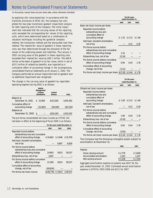(in thousands, except share and per share data, unless otherwise indicated)

by applying a fair value-based test. In accordance with the transition provisions of SFAS 142, the Company has completed the two-step transitional goodwill impairment analysis for both reporting units of the Company. The initial impairment test indicated that the carrying values of the reporting units exceeded the corresponding fair values of the reporting units, which were determined based on a combination of valuation techniques including the guideline company method, the transaction method and the discounted cash flow method. The implied fair value of goodwill in these reporting units was then determined through the allocation of the fair values to the underlying assets and liabilities. The January 1, 2002 carrying value of the goodwill in these reporting units exceeded their implied fair value by \$90.1 million. The \$69.8 million write-down of goodwill to its fair value, which is net of \$20.3 million of related tax benefits, was reported as a cumulative effect of accounting change in the accompanying consolidated financial statements as of January 1, 2002. The Company performed an annual impairment test on goodwill and no additional impairment was recognized.

The change in the carrying value of goodwill by reportable operating segment during 2002 is as follows:

|                                           | Vehicle<br><b>Management</b><br>& Power<br><b>Distribution</b> | Control<br><b>Devices</b> | <b>Total</b> |
|-------------------------------------------|----------------------------------------------------------------|---------------------------|--------------|
| Balance at                                |                                                                |                           |              |
| December 31, 2001                         | 31,800<br>S                                                    | \$313.592                 | \$345,392    |
| Cumulative effect of<br>accounting change | (31,800)                                                       | (58, 300)                 | (90, 100)    |
| Balance at                                |                                                                |                           |              |
| December 31, 2002                         |                                                                | \$255,292                 | \$255,292    |

The pro forma consolidated net (loss) income as if SFAS 142 had been in effect at the beginning of fiscal 2000 is as follows:

|                                                                                            | For the years ended December 31, |         |          |  |
|--------------------------------------------------------------------------------------------|----------------------------------|---------|----------|--|
|                                                                                            | 2002                             | 2001    | 2000     |  |
| Reported income before<br>extraordinary loss and cumulative<br>effect of accounting change | $$24,663$ $$2,946$               |         | \$32.709 |  |
| Add back: Goodwill amortization,<br>net of tax                                             |                                  | 6,867   | 6,828    |  |
| Pro forma income before<br>extraordinary loss and cumulative                               |                                  |         |          |  |
| effect of accounting change<br>Extraordinary loss, net of tax                              | 24,663<br>3,607                  | 9,813   | 39,537   |  |
| Pro forma income before cumulative<br>effect of accounting change                          | 21,056                           | 9.813   | 39,537   |  |
| Cumulative effect of accounting<br>change, net of tax                                      | (69, 834)                        |         |          |  |
| Pro forma net (loss) income                                                                | \$ (48.778)                      | \$9,813 | \$39.537 |  |

|                                                                          | For the years<br>ended December 31, |        |        |
|--------------------------------------------------------------------------|-------------------------------------|--------|--------|
|                                                                          | 2002                                | 2001   | 2000   |
| Basic net (loss) income per share:                                       |                                     |        |        |
| Reported income before<br>extraordinary loss and<br>cumulative effect of |                                     |        |        |
| accounting change                                                        | \$1.10                              | \$0.13 | \$1.46 |
| Add back: Goodwill amortization.<br>net of tax                           |                                     | 0.31   | 0.30   |
| Pro forma income before<br>extraordinary loss and cumulative             |                                     |        |        |
| effect of accounting change                                              | 1.10                                |        |        |
| Extraordinary loss, net of tax                                           | (0.16)                              |        |        |
| Pro forma income before cumulative<br>effect of accounting change        | 0.94                                | 0.44   | 1.76   |
| Cumulative effect of accounting<br>change, net of tax                    | (3.12)                              |        |        |
| Pro forma net (loss) income per share $(2.18)$ \$ 0.44                   |                                     |        | \$1.76 |

|                                                                          | For the years<br>ended December 31, |        |        |
|--------------------------------------------------------------------------|-------------------------------------|--------|--------|
|                                                                          | 2002                                | 2001   | 2000   |
| Diluted net (loss) income per share:                                     |                                     |        |        |
| Reported income before<br>extraordinary loss and<br>cumulative effect of |                                     |        |        |
| accounting change                                                        | \$1.09                              | \$0.13 | \$1.46 |
| Add back: Goodwill amortization.<br>net of tax                           |                                     | 0.31   | 0.30   |
| Pro forma income before<br>extraordinary loss and cumulative             |                                     |        |        |
| effect of accounting change                                              | 1.09                                | 0.44   | 1 76   |
| Extraordinary loss, net of tax                                           | (0.16)                              |        |        |
| Pro forma income before cumulative<br>effect of accounting change        | 0.93                                | 0.44   | 1.76   |
| Cumulative effect of accounting<br>change, net of tax                    | (3.09)                              |        |        |
| Pro forma net (loss) income per share $\S(2.16)$ \$ 0.44                 |                                     |        | \$1.76 |

The Company had the following intangible assets subject to amortization at December 31:

|                          | 2002    | 2001    |
|--------------------------|---------|---------|
| Patents:                 |         |         |
| Gross carrying amount    | \$2,779 | \$3.659 |
| Accumulated amortization | 1.243   | 1.327   |
| Net carrying amount      | \$1.536 | \$2,332 |
|                          |         |         |

Aggregate amortization expense on patents was \$817 for the year ended December 31, 2002. Estimated annual amortization expense is \$278 for 2003-2006 and \$211 for 2007.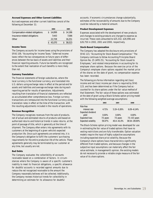## **Accrued Expenses and Other Current Liabilities**

Accrued expenses and other current liabilities consist of the following at December 31:

|                                  | 2002   | 2001   |
|----------------------------------|--------|--------|
| Compensation-related obligations | 14,899 | 14.186 |
| Insurance-related obligations    | 7.443  | 7,586  |
| Other                            | 22.728 | 16,251 |
|                                  | 45.070 | 38,023 |

## **Income Taxes**

The Company accounts for income taxes using the provisions of SFAS 109, "Accounting for Income Taxes." Deferred income taxes reflect the tax consequences on future years of differences between the tax basis of assets and liabilities and their financial reporting amounts. Future tax benefits are recognized to the extent that realization of such benefits is more likely than not.

# **Currency Translation**

The financial statements of foreign subsidiaries, where the local currency is the functional currency, are translated into U.S. dollars using exchange rates in effect at the period end for assets and liabilities and average exchange rates during each reporting period for results of operations. Adjustments resulting from translation of financial statements are reflected as accumulated other comprehensive loss. Foreign currency transactions are remeasured into the functional currency using translation rates in effect at the time of the transaction, with the resulting adjustments included in the results of operations.

# **Revenue Recognition**

The Company recognizes revenues from the sale of products, net of actual and estimated returns of products sold based on authorized returns and historical trends in sales returns, at the point of passage of title, which is generally at the time of shipment. The Company often enters into agreements with its customers at the beginning of a given vehicle's expected production life. Once such agreements are entered into, it is the Company's obligation to fulfill the customers' purchasing requirements for the entire production life of the vehicle. These agreements generally may be terminated by our customer at any time, but usually are not.

# **Bad Debts**

The Company evaluates the collectibility of accounts receivable based on a combination of factors. In circumstances where the Company is aware of a specific customer's inability to meet its financial obligations, a specific allowance for doubtful accounts is recorded against amounts due to reduce the net recognized receivable to the amount the Company reasonably believes will be collected. Additionally, the Company reviews historical trends for collectibility in determining an estimate for its allowance for doubtful

accounts. If economic circumstances change substantially, estimates of the recoverability of amounts due to the Company could be reduced by a material amount.

# **Product Development Expenses**

Expenses associated with the development of new products and changes to existing products are charged to expense as incurred. These costs amounted to \$25,332, \$26,996 and \$26,750 in 2002, 2001 and 2000, respectively.

# **Stock-Based Compensation**

The Company has adopted the disclosure-only provisions of SFAS 123, "Accounting for Stock-Based Compensation." The Company continues to follow Accounting Principles Board Opinion No. 25 (APB 25), "Accounting for Stock Issued to Employees," and related interpretations in accounting for its employee share options. Because the exercise price of the Company's employee share options equaled the market price of the shares on the date of grant, no compensation expense has been recorded.

The following pro forma information regarding net (loss) income and net (loss) income per share is required by SFAS 123, and has been determined as if the Company had accounted for its share options under the fair value method of that Statement. The fair value of these options was estimated at the date of grant using a Black-Scholes option pricing model with the following weighted-average assumptions:

|                            | 2002      | 2001         | 2000              |
|----------------------------|-----------|--------------|-------------------|
| Risk-free                  |           |              |                   |
| interest rate              | 4.71%     | 5.19 - 5.26% | $6.09 - 6.14\%$   |
| <b>Expected dividend</b>   |           |              |                   |
| yield                      | $0.00\%$  | $0.00\%$     | $0.00\%$          |
| <b>Expected lives</b>      | 7.5 years | 7.5 years    | $7.5 - 8.5$ years |
| <b>Expected volatility</b> | 59.47%    | 40.4-41.0%   | 38.54-39.00%      |

The Black-Scholes option pricing model was developed for use in estimating the fair value of traded options that have no vesting restrictions and are fully transferable. Option valuation models require the input of highly subjective assumptions including expected share price volatility. Because the Company's share options have characteristics significantly different from traded options, and because changes in the subjective input assumptions can materially affect the fair value estimate, in management's opinion, the existing models do not necessarily provide a reliable single measure of the fair value of its share options.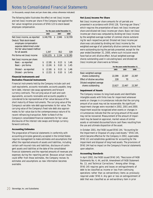(in thousands, except share and per share data, unless otherwise indicated)

The following table illustrates the effect on net (loss) income and net (loss) income per share if the Company had applied the fair value recognition provisions of SFAS 123 to stock-based employee compensation.

|                                                                                                               | For the years ended December 31, |                  |          |              |          |              |
|---------------------------------------------------------------------------------------------------------------|----------------------------------|------------------|----------|--------------|----------|--------------|
|                                                                                                               |                                  | 2002             |          | 2001         |          | 2000         |
| Net (loss) income, as reported                                                                                |                                  | \$ (48, 778)     | \$       | 2,946        |          | \$32.709     |
| Deduct: Total stock-based<br>employee compensation<br>expense determined under<br>the fair value based method |                                  |                  |          |              |          |              |
| for all awards                                                                                                |                                  | 1,347            |          | 812          |          | 328          |
| Pro forma net (loss) income                                                                                   |                                  | \$ (50, 125)     | \$       | 2,134        |          | \$32,381     |
| Net (loss) income per share:<br>Basic – as reported<br>Basic – pro forma                                      | \$<br>\$                         | (2.18)<br>(2.24) | \$<br>\$ | 0.13<br>0.10 | \$<br>\$ | 1.46<br>1.45 |
| Diluted – as reported<br>Diluted – pro forma                                                                  | \$<br>\$                         | (2.16)<br>(2.22) | \$<br>\$ | 0.13<br>0.10 | \$<br>\$ | 1.46<br>1.45 |

# **Financial Instruments and Derivative Financial Instruments**

Financial instruments held by the Company include cash and cash equivalents, accounts receivable, accounts payable, longterm debt, interest rate swap agreements and forward currency contracts. The carrying value of cash and cash equivalents, accounts receivable and accounts payable is considered to be representative of fair value because of the short maturity of these instruments. The carrying value of the Company's variable rate debt approximates its fair value. The carrying value of the Company's fixed rate debt also approximates its fair value due to the contemporaneous nature of its recent refinancing transaction. Refer to Note 9 of the Company's consolidated financial statements for fair value disclosures of the interest rate swaps and foreign currency forward contracts.

# **Accounting Estimates**

The preparation of financial statements in conformity with accounting principles generally accepted in the United States requires management to make estimates and assumptions that affect the reported amounts of assets and liabilities, including certain self-insured risks and liabilities, disclosure of contingent assets and liabilities at the date of the consolidated financial statements and the reported amounts of revenues and expenses during the reporting period. Because actual results could differ from those estimates, the Company revises its estimates and assumptions as new information becomes available.

# **Net (Loss) Income Per Share**

Net (loss) income per share amounts for all periods are presented in accordance with SFAS 128, "Earnings per Share," which requires the presentation of basic net (loss) income per share and diluted net (loss) income per share. Basic net (loss) income per share was computed by dividing net (loss) income by the weighted-average number of common shares outstanding for each respective period. Diluted net (loss) income per share was calculated by dividing net (loss) income by the weighted-average of all potentially dilutive common shares that were outstanding during the periods presented, except for the year ended December 31, 2000, where such inclusion would have had an anti-dilutive effect. Actual weighted-average shares outstanding used in calculating basic and diluted net (loss) income per share were as follows:

|                                      | For the years ended December 31, |        |        |  |
|--------------------------------------|----------------------------------|--------|--------|--|
|                                      | 2002                             | 2001   | 2000   |  |
| Basic weighted average               |                                  |        |        |  |
| shares outstanding                   | 22,399                           | 22,397 | 22,397 |  |
| <b>Effect of dilutive securities</b> | 228                              | 70     |        |  |
| Diluted weighted average             |                                  |        |        |  |
| shares outstanding                   | 22.627                           | 22,467 | 22,397 |  |

# **Impairment of Assets**

The Company reviews its long-lived assets and identifiable intangible assets with finite lives for impairment whenever events or changes in circumstances indicate that the carrying amount of an asset may not be recoverable. No significant impairment charges were recorded in 2002, 2001 and 2000. Impairment would be recognized when events or changes in circumstances indicate that the carrying amount of the asset may not be recovered. Measurement of the amount of impairment may be based on appraisal, market values of similar assets or estimated discounted future cash flows resulting from the use and ultimate disposition of the asset.

In October 2001, the FASB issued SFAS 144, "Accounting for the Impairment or Disposal of Long-Lived Assets." SFAS 144, which became effective for the Company in 2002, supersedes SFAS 121 and establishes guidelines for accounting for the impairment and disposal of long-lived assets. The provisions of SFAS 144 had no impact on the Company's financial statements upon adoption.

# **Accounting Standards**

In April 2002, the FASB issued SFAS 145, "Rescission of FASB Statements No. 4, 44, and 64, Amendment of FASB Statement No. 13, and Technical Corrections." Among other things, SFAS 145 requires gains and losses on extinguishments of debt to be classified as income or loss from continuing operations rather than as extraordinary items as previously required under SFAS 4. Any gain or loss on extinguishment of debt that was classified as an extraordinary item in prior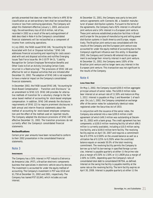periods presented that does not meet the criteria in APB 30 for classification as an extraordinary item shall be reclassified as income or loss from continuing operations. The Company will adopt this Statement effective January 1, 2003, and accordingly, the extraordinary loss of \$3.6 million, net of tax, recorded in 2002 as a result of the early extinguishment of debt described in Note 4 to the Company's consolidated financial statements will be reclassified as a component of income from continuing operations.

In July 2002, the FASB issued SFAS 146, "Accounting for Costs Associated with Exit or Disposal Activities." SFAS 146 addresses financial accounting and reporting for costs associated with exit and disposal activities and nullifies Emerging Issues Task Force Issue No. 94-3 (EITF 94-3), "Liability Recognition for Certain Employee Termination Benefits and Other Costs to Exit an Activity (including Certain Costs Incurred in a Restructuring)." The provisions of SFAS 146 are effective for exit or disposal activities that are initiated after December 31, 2002. The adoption of SFAS 146 is not expected to have a material impact on the Company's consolidated financial statements.

In December 2002, the FASB issued SFAS 148, "Accounting for Stock-Based Compensation – Transition and Disclosure," as an amendment to SFAS 123. SFAS 148 provides for alternative methods of transition for a voluntary change to the fair value based method of accounting for stock-based employee compensation. In addition, SFAS 148 amends the disclosure requirements of SFAS 123 to require prominent disclosures in both annual and interim financial statements about the method of accounting for stock-based employee compensation and the effect of the method used on reported results. The Company adopted the disclosure provisions of SFAS 148 effective December 31, 2002. The transition provisions do not currently affect the Company's consolidated financial statements.

## **Reclassifications**

Certain prior year amounts have been reclassified to conform to their 2002 presentation in the consolidated financial statements.

# Note 3

## **INVESTMENTS**

The Company has a 50% interest in PST Industria Eletronica da Amazonia Ltda. (PST), a Brazilian electronic components business that specializes in electronic vehicle security devices. The investment is accounted for under the equity method of accounting. The Company's investment in PST was \$518 and \$1,758 at December 31, 2002 and 2001, respectively. The Company has loaned PST \$5,843, which includes accrued interest.

At December 31, 2001, the Company was party to two joint venture agreements with Connecto AB, a Swedish manufacturer of power distribution systems. Pursuant to the terms of the agreements, the Company had a 92% interest in a Brazilian joint venture and a 14% interest in a European joint venture. These joint ventures established production facilities in Brazil and Europe for the purpose of manufacturing and selling power distribution systems in South America and Europe, respectively. The Brazilian joint venture was consolidated with the results of the Company and the European joint venture was accounted for under the equity method of accounting due to the Company's significant influence over this entity. In November 2002, the Company and Connecto AB entered into an agreement to exchange their minority interest in each joint venture. At December 31, 2002, the Company owns 100% of the Brazilian joint venture and no longer owns any interest in the European joint venture. This transaction was not significant to the results of the Company.

# Note 4

## **LONG-TERM DEBT**

On May 1, 2002, the Company issued \$200.0 million aggregate principal amount of senior notes. The \$200.0 million notes bear interest at an annual rate of 11.50% and mature on May 1, 2012. Interest is payable on May 1 and November 1 of each year. On July 1, 2002, the Company completed an exchange offer of the senior notes for substantially identical notes registered under the Securities Act of 1933.

In conjunction with the issuance of the senior notes, the Company also entered into a new \$200.0 million credit agreement (of which \$49.3 million was outstanding at December 31, 2002) with a bank group. The credit agreement has two components: a \$100.0 million revolving facility (of which \$96.5 million is currently available), including a \$10.0 million swing line facility, and a \$100.0 million term facility. The revolving facility expires on April 30, 2007 and requires a commitment fee of 0.375% to 0.500% on the unused balance as well as a utilization fee of 0.125% to 0.250% when the unutilized balance equals or exceeds 50.0% of the total revolving commitment. The revolving facility permits the Company to borrow up to half its borrowings in specified foreign currencies. Interest is payable quarterly at either (i) the prime rate plus a margin of 0.50% to 1.50% or (ii) LIBOR plus a margin of 2.00% to 3.00%, depending upon the Company's ratio of consolidated total debt to consolidated EBITDA, as defined. Interest on the swing line facility is payable monthly at the same rate as the revolving facility. The term facility expires on April 30, 2008. Interest is payable quarterly at either (i) the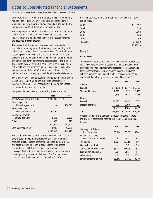(in thousands, except share and per share data, unless otherwise indicated)

prime rate plus 1.75% or (ii) LIBOR plus 3.25%. The Company has the right to prepay any of the above mentioned loans in whole or in part, without premium or penalty. During 2002, the Company prepaid \$50.0 million of the term facility.

The Company incurred debt-financing costs of \$10.7 million in connection with the issuance of the senior notes and credit facility, which are being amortized over the respective terms of the debt into interest expense.

The proceeds of the senior notes were used to repay the amounts outstanding under the Company's then existing debt obligations on May 1, 2002, which consisted of \$37.6 million of revolving credit borrowings and \$226.1 million of term debt borrowings ("the old debt"). The Company also had \$5.8 million of unamortized deferred financing costs related to the old debt. These costs were written off in connection with the repayment of the debt and are presented as an extraordinary loss on the extinguishment of debt of \$3.6 million, net of taxes of \$2.2 million, in the accompanying consolidated financial statements.

The weighted average interest rate in effect for the years ended December 31, 2002, 2001 and 2000 was approximately 9.53%, 9.39% and 7.75%, respectively, including the effects of the interest rate swap agreements.

Long-term debt consists of the following at December 31:

|                                          | 2002      | 2001      |
|------------------------------------------|-----------|-----------|
| 111/2% Senior notes, due 2012            | \$200,000 | \$        |
| Borrowings under<br>old credit agreement |           | 286,610   |
| Borrowings under<br>new credit agreement | 49,250    |           |
| Borrowings payable                       |           |           |
| to foreign banks                         | 1,108     | 3,891     |
| Other                                    | 552       | 840       |
|                                          | 250,910   | 291,341   |
| Less: Current portion                    | 1.992     | 41,621    |
|                                          | \$248,918 | \$249.720 |

The credit agreement contains various covenants that require, among other things, the maintenance of certain minimum amounts of consolidated net worth and consolidated EBITDA and certain specified ratios of consolidated total debt to consolidated EBITDA, interest coverage and fixed charge coverage. Restrictions also include limits on capital expenditures, operating leases and dividends. The Company was in compliance with all covenants at December 31, 2002.

Future maturities of long-term debt as of December 31, 2002 are as follows:

| \$<br>1,992 |
|-------------|
| 1,526       |
| 1,102       |
| 1,040       |
| 1,000       |
| 244,250     |
| \$250,910   |
|             |

# Note 5

# **INCOME TAXES**

The provisions for income taxes on income before extraordinary loss and cumulative effect of accounting change included in the accompanying financial statements represent federal, state and foreign income taxes. The provision for income taxes before extraordinary loss and cumulative effect of accounting change consists of the following for the years ended December 31:

|                   | 2002        | 2001       | 2000     |
|-------------------|-------------|------------|----------|
| Current:          |             |            |          |
| Federal           | \$<br>(175) | \$ (9,347) | \$3,003  |
| State and foreign | 2,820       | 712        | 2,763    |
|                   | 2,645       | (8,635)    | 5,766    |
| Deferred:         |             |            |          |
| Federal           | 10,186      | 8,387      | 7,602    |
| State and foreign | 595         | 1,198      | 717      |
|                   | 10,781      | 9,585      | 8,319    |
| Total             | \$13,426    | \$<br>950  | \$14,085 |

A reconciliation of the Company's effective income tax rate to the statutory federal tax rate for 2002, 2001 and 2000 is as follows:

|                              | 2002  | 2001   | 2000  |
|------------------------------|-------|--------|-------|
| Statutory U.S. federal       |       |        |       |
| income tax rate              | 35.0% | 35.0%  | 35.0% |
| State income taxes,          |       |        |       |
| net of federal tax benefit   | 2.4   | 14.6   | 2.1   |
| Tax credits                  | (2.0) | (23.1) | (1.0) |
| Goodwill amortization        |       | 7.6    | 0.5   |
| Tax benefit for export sales | (5.1) | (56.0) | (3.8) |
| Foreign rate differential    | 0.9   | 28.6   | (2.4) |
| Other items                  | 4.0   | 17.7   | (0.3) |
| Effective income tax rate    | 35.2% | 24.4%  | 30.1% |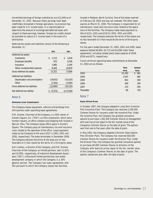Unremitted earnings of foreign subsidiaries are \$12,046 as of December 31, 2002. Because these earnings have been indefinitely reinvested in foreign operations, no provision has been made for U.S. income taxes. It is impracticable to determine the amount of unrecognized deferred taxes with respect to these earnings; however, foreign tax credits should be available to reduce U.S. income taxes in the event of a distribution.

Deferred tax assets and liabilities consist of the following at December 31:

|                                | 2002        | 2001        |
|--------------------------------|-------------|-------------|
| Deferred tax assets:           |             |             |
| Inventories                    | \$<br>2,113 | \$<br>1.618 |
| <b>Employee benefits</b>       | 923         | 2,028       |
| Insurance                      | 1,885       | 2,559       |
| Other nondeductible reserves   | 8,400       | 10,879      |
| Gross deferred tax assets      | 13,321      | 17,084      |
| Deferred tax liabilities:      |             |             |
| Depreciation and amortization  | (19, 931)   | (31, 025)   |
| Other                          | (2,764)     | (3,095)     |
| Gross deferred tax liabilities | (22,695)    | (34, 120)   |
| Net deferred tax liability     | (9.374)     | \$(17,036)  |

# Note 6

## **OPERATING LEASE COMMITMENTS**

The Company leases equipment, vehicles and buildings from third parties under operating lease agreements.

D.M. Draime, Chairman of the Company, is a 50% owner of Hunters Square, Inc. ("HSI"), an Ohio corporation, which owns Hunters Square, an office complex and shopping mall located in Warren, Ohio. The Company leases office space in Hunters Square. The Company pays all maintenance, tax and insurance costs related to the operation of the office. Lease payments made by the Company to HSI were \$357 in 2002, 2001 and 2000, respectively. The lease terminates in December 2009. The Company believes the terms of the lease are no less favorable to it than would be the terms of a third-party lease.

Earl Linehan, a director of the Company, and D.M. Draime, Chairman of the Company, as limited partners, own 11.81% and 10.00%, respectively, of Industrial Development Associates ("IDA"), a Maryland limited partnership real estate development company in which the Company is a 30% general partner. The Company has lease agreements with IDA pursuant to which the Company leases two facilities

located in Mebane, North Carolina. One of the leases expired on February 28, 2002 and was not renewed. The other lease expires on March 31, 2004. The Company is responsible for all maintenance, taxes and insurance costs related to the operations of the facilities. The Company made lease payments to IDA of \$152, \$181 and \$218 for 2002, 2001 and 2000, respectively. The Company believes the terms of the leases are no less favorable to it than would be the terms of third-party leases.

For the years ended December 31, 2002, 2001 and 2000, lease expense totaled \$6,604, \$5,713 and \$4,098 under these agreements, including related party lease expense of \$509, \$538 and \$575, respectively.

Future minimum operating lease commitments at December 31, 2002 are as follows:

|            | <b>Third</b> | <b>Related</b> |
|------------|--------------|----------------|
|            | <b>Party</b> | <b>Party</b>   |
| 2003       | \$5,195      | 465<br>\$      |
| 2004       | 2,547        | 385            |
| 2005       | 602          | 359            |
| 2006       | 309          | 359            |
| 2007       | 270          | 359            |
| Thereafter | 86           | 718            |

# Note 7

## **SHARE OPTION PLANS**

In October 1997, the Company adopted a Long-Term Incentive Plan (Incentive Plan). The Company has reserved 2,500,000 Common Shares for issuance under the Incentive Plan. Under the Incentive Plan, the Company has granted cumulative options to purchase 1,282,500 Common Shares to management with exercise prices equal to the fair market value of the Company's Common Shares on the date of grant. The options vest from one to five years after the date of grant.

In May 2002, the Company adopted a Director Share Option Plan (Director Plan). The Company has reserved 500,000 Common Shares for issuance under the Director Plan. Under the Director Plan, the Company has granted cumulative options to purchase 60,000 Common Shares to directors of the Company with exercise prices equal to the fair market value of the Company's Common Shares on the date of grant. The options vested one year after the date of grant.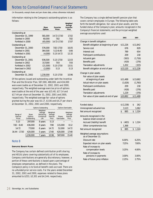(in thousands, except share and per share data, unless otherwise indicated)

Information relating to the Company's outstanding options is as follows:

|                   | Share<br><b>Options</b> | <b>Excercise</b><br><b>Prices</b> | Weighted<br>Average<br><b>Excercise</b><br>Price |
|-------------------|-------------------------|-----------------------------------|--------------------------------------------------|
| Outstanding at    |                         |                                   |                                                  |
| December 31, 1999 | 581,000                 | 14.72-17.50                       | 17.02                                            |
| Granted in 2000   | 60,000                  | 7.82                              | 7.82                                             |
| Forfeited in 2000 | (65,000)                | 14.72-17.50                       | 17.07                                            |
| Outstanding at    |                         |                                   |                                                  |
| December 31, 2000 | 576,000                 | 7.82-17.50                        | 16.05                                            |
| Granted in 2001   | 364,500                 | 5.13-8.40                         | 5.66                                             |
| Forfeited in 2001 | (4,000)                 | 5.13-14.72                        | 12.32                                            |
| Outstanding at    |                         |                                   |                                                  |
| December 31, 2001 | 936,500                 | 5.13-17.50                        | 12.03                                            |
| Granted in 2002   | 317,000                 | 7.93                              | 7.93                                             |
| Forfeited in 2002 | (21,500)                | 5.13-17.50                        | 13.51                                            |
| Exercised in 2002 | (2,000)                 | 5.13                              | 5.13                                             |
| Outstanding at    |                         |                                   |                                                  |
| December 31, 2002 | 1,230,000               | 5.13-17.50                        | 10.96                                            |

Of the options issued and outstanding under both the Incentive Plan and the Director Plan, 587,000, 488,000, and 434,000 were exercisable as of December 31, 2002, 2001 and 2000, respectively. The weighted-average exercise price of options exercisable at the end of the year was \$15.40, \$17.14 and \$17.44 per share at December 31, 2002, 2001 and 2000, respectively. The weighted-average fair value of options granted during the year was \$5.17, \$3.06 and \$4.27 per share at December 31, 2002, 2001 and 2000, respectively.

|                                |                                 | <b>Options Outstanding</b>                               |                                           |                              |                                           |
|--------------------------------|---------------------------------|----------------------------------------------------------|-------------------------------------------|------------------------------|-------------------------------------------|
| Range of<br>Exercise<br>Prices | Share<br>Options<br>Outstanding | Weighted-<br>Average<br>Remaining<br>Contractual<br>Life | Weighted-<br>Average<br>Exercise<br>Price | <b>Shares</b><br>Exercisable | Weighted-<br>Average<br>Exercise<br>Price |
| 5.13                           | 297,000                         | 8 years                                                  | 5.13                                      |                              |                                           |
| $7.82 - 8.40$                  | 436,000                         | 8 years                                                  | 7.98                                      | 115,000                      | 8.12                                      |
| 14.72                          | 77,000                          | 6 years                                                  | 14.72                                     | 52,000                       | 14.72                                     |
| 16.44 - 17.50                  | 420,000                         | 5 years                                                  | 17.48                                     | 420,000                      | 17.48                                     |
|                                | 1,230,000                       | 7 years                                                  | 10.96                                     | 587,000                      | 15.40                                     |

# Note 8

## **EMPLOYEE BENEFIT PLANS**

The Company has certain defined contribution profit sharing and 401(k) plans covering substantially all of its employees. Company contributions are generally discretionary; however, a portion of these contributions is based upon a percentage of employee compensation, as defined in the plans. The Company's policy is to fund all benefit costs accrued. There are no unfunded prior service costs. For the years ended December 31, 2002, 2001 and 2000, expenses related to these plans amounted to \$253, \$3,301 and \$4,144, respectively.

The Company has a single defined benefit pension plan that covers certain employees in Europe. The following table sets forth the benefit obligation, fair value of plan assets, and the funded status of the Company's plan; amounts recognized in the Company's financial statements; and the principal weighted average assumptions used:

|                                                    | 2002        | 2001        |
|----------------------------------------------------|-------------|-------------|
| Change in benefit obligation:                      |             |             |
| Benefit obligation at beginning of year            | \$11,226    | \$11,842    |
| Service cost                                       | 676         | 829         |
| Interest cost                                      | 789         | 654         |
| Participant contributions                          | 209         | 218         |
| Actuarial gain                                     | (563)       | (1,716)     |
| Benefits paid                                      | (419)       | (276)       |
| Translation adjustments                            | 1,202       | (325)       |
| Benefit obligation at end of year                  | \$13,120    | \$11,226    |
| Change in plan assets:                             |             |             |
| Fair value of plan assets                          |             |             |
| at beginning of year                               | \$11,488    | \$13,682    |
| Actual return on plan assets                       | (1,626)     | (1,760)     |
| Participant contributions                          | 209         | 218         |
| Benefits paid                                      | (418)       | (276)       |
| Translation adjustments                            | 1,229       | (376)       |
| Fair value of plan assets at end of year           | \$10,882    | \$11,488    |
| <b>Funded status</b>                               | \$(2,238)   | \$<br>262   |
| Unrecognized actuarial loss                        | 3,123       | 1,062       |
| Net amount recognized                              | \$<br>885   | 1,324<br>\$ |
| Amounts recognized in the                          |             |             |
| balance sheet consist of:                          |             |             |
| Accrued (liability) benefit                        | \$<br>(483) | 1,324<br>\$ |
| Other comprehensive loss                           | 1,368       |             |
| Net amount recognized                              | 885<br>\$   | 1,324<br>\$ |
| Weighted average assumptions<br>as of December 31: |             |             |
| Discount rate                                      | 6.00%       | 6.25%       |
| Expected return on plan assets                     | 7.25%       | 7.00%       |
| Rate of increase to                                |             |             |
| compensation levels                                | 3.25%       | 4.00%       |
| Rate of increase to                                |             |             |
| pensions in payments                               | 3.00%       | 3.00%       |
| Rate of future price inflation                     | 2.25%       | 2.75%       |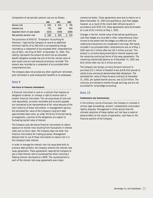Components of net periodic pension cost are as follows:

|                                | 2002  |    | 2001  | 2000  |
|--------------------------------|-------|----|-------|-------|
| Service cost                   | 630   | S. | 821   | 756   |
| Interest cost                  | 735   |    | 648   | 454   |
| Expected return on plan assets | (825) |    | (849) | (696) |
| Net periodic pension cost      | 540   |    | 620   | 514   |

The provisions of SFAS 87, "Employers' Accounting for Pensions," required the Company to record an additional minimum liability of \$1,368 with a corresponding charge recorded as a component of accumulated other comprehensive loss of \$821, net of tax of \$547, at December 31, 2002. This liability represents the amount by which the accumulated benefit obligation exceeds the sum of the fair market value of plan assets and accrued amounts previously recorded. This amount was recorded as a component of accumulated other comprehensive loss.

The Company does not provide any other significant retirement, post-retirement or post-employment benefits to its employees.

# Note 9

# **FAIR VALUE OF FINANCIAL INSTRUMENTS**

A financial instrument is cash or a contract that imposes an obligation to deliver, or conveys a right to receive cash or another financial instrument. The carrying values of cash and cash equivalents, accounts receivable and accounts payable are considered to be representative of fair value because of the short maturity of these instruments. In management's opinion, the estimated fair value of the Company's long-term debt approximates book value, as under the terms of the borrowing arrangements, a portion of the obligations are subject to fluctuating market rates of interest.

The Company uses derivative financial instruments to reduce exposure to market risks resulting from fluctuations in interest rates and currency rates. The Company does not enter into financial instruments for trading purposes. Management believes that its use of these instruments to reduce risk is in the Company's best interest.

In order to manage the interest rate risk associated with its previous debt portfolio, the Company entered into interest rate swap agreements. These agreements required the Company to pay a fixed interest rate to counterparties while receiving a floating interest rate based on LIBOR. The counterparties to each of the interest rate swap agreements were major

commercial banks. These agreements were due to mature on or before December 31, 2003 and qualified as cash flow hedges; however, as a result of the recent debt refinancing and in accordance with SFAS 133, these agreements were terminated at a cost of \$5.3 million on May 1, 2002.

Changes in the fair market value of derivatives qualifying as cash flow hedges are recorded in other comprehensive (loss) income to the extent that the hedges are effective until the underlying transactions are recognized in earnings. Net losses included in accumulated other comprehensive loss as of May 1, 2002 were \$3.3 million after-tax (\$5.3 million pre-tax). This amount is currently being amortized to interest expense over the remaining contractual terms of the swap agreements. The remaining unamortized balance as of December 31, 2002 was \$0.6 million after-tax (\$1.0 million pre-tax).

The Company has foreign currency forward contracts to purchase \$13.1 million of Swedish krona and British pounds to satisfy krona and pound denominated debt obligations. The estimated fair value of these forward contracts at December 31, 2002, per quoted market sources, was \$13.8 million. The contracts are marked to market through earnings and are not accounted for using hedge accounting.

# Note 10

## **COMMITMENTS AND CONTINGENCIES**

In the ordinary course of business, the Company is involved in various legal proceedings, workers' compensation and product liability disputes. Management is of the opinion that the ultimate resolution of these matters will not have a material adverse effect on the results of operations, cash flows or the financial position of the Company.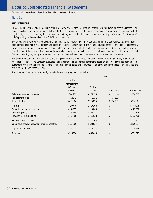(in thousands, except share and per share data, unless otherwise indicated)

# Note 11

# **SEGMENT REPORTING**

SFAS 131, "Disclosures about Segments of an Enterprise and Related Information," established standards for reporting information about operating segments in financial statements. Operating segments are defined as components of an enterprise that are evaluated regularly by the chief operating decision maker in deciding how to allocate resources and in assessing performance. The Company's chief operating decision maker is the Chief Executive Officer.

The Company has two reportable operating segments: Vehicle Management & Power Distribution and Control Devices. These reportable operating segments were determined based on the differences in the nature of the products offered. The Vehicle Management & Power Distribution operating segment produces electronic instrument clusters, electronic control units, driver information systems and electrical distribution systems, primarily wiring harnesses and connectors for electrical power and signal distribution. The Control Devices operating segment produces electronic and electromechanical switches, control actuation devices and sensors.

The accounting policies of the Company's operating segments are the same as those described in Note 2, "Summary of Significant Accounting Policies." The Company evaluates the performance of its operating segments based primarily on revenues from external customers, net income and capital expenditures. Intersegment sales are accounted for on terms similar to those to third parties and are eliminated upon consolidation.

A summary of financial information by reportable operating segment is as follows:

|                                                    | 2002                |                |                 |              |  |
|----------------------------------------------------|---------------------|----------------|-----------------|--------------|--|
|                                                    | Vehicle             |                |                 |              |  |
|                                                    | Management          |                |                 |              |  |
|                                                    | & Power             | Control        |                 |              |  |
|                                                    | <b>Distribution</b> | <b>Devices</b> | Eliminations    | Consolidated |  |
| Sales from external customers                      | \$260,932           | \$375,575      | \$              | \$636,507    |  |
| Intersegment sales                                 | 12,872              | 1,321          | (14, 193)       |              |  |
| Total net sales                                    | \$273,804           | \$376,896      | (14, 193)<br>\$ | \$636,507    |  |
| Net loss                                           | \$ (29, 470)        | \$ (19,308)    | \$              | \$ (48,778)  |  |
| Depreciation and amortization                      | 8,037<br>\$         | 13,863<br>\$   | \$              | \$21,900     |  |
| Interest expense, net                              | \$<br>5,145         | 29,471<br>S.   | \$              | 34,616<br>\$ |  |
| Provision for income taxes                         | \$<br>1,488         | 11,938<br>S.   | \$              | 13,426<br>\$ |  |
| Extraordinary loss, net of tax                     | \$<br>402           | \$<br>3,205    | \$              | \$<br>3,607  |  |
| Cumulative effect of accounting change, net of tax | \$ (31,800)         | \$ (38,034)    | \$              | \$ (69,834)  |  |
| Capital expenditures                               | \$<br>4,272         | 10,384<br>\$   | \$              | 14,656<br>\$ |  |
| Total assets                                       | \$135,714           | \$435,413      | \$              | \$571,127    |  |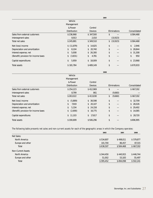|                                      |               |                | 2001            |              |  |
|--------------------------------------|---------------|----------------|-----------------|--------------|--|
|                                      | Vehicle       |                |                 |              |  |
|                                      | Management    |                |                 |              |  |
|                                      | & Power       | Control        |                 |              |  |
|                                      | Distribution  | <b>Devices</b> | Eliminations    | Consolidated |  |
| Sales from external customers        | \$236,968     | \$347,500      | \$              | \$584,468    |  |
| Intersegment sales                   | 8,913         | 2,010          | (10, 923)       |              |  |
| Total net sales                      | \$245,881     | \$349,510      | (10, 923)<br>\$ | \$584,468    |  |
| Net (loss) income                    | \$(11, 879)   | 14,825<br>\$   | \$              | 2,946<br>\$  |  |
| Depreciation and amortization        | 8,104<br>\$   | 20,740<br>S    | \$              | 28,844<br>\$ |  |
| Interest expense, net                | 5,008<br>\$   | 26,300<br>\$   | \$              | 31,308<br>\$ |  |
| (Benefit) provision for income taxes | (3,831)<br>\$ | 4,781<br>\$    | \$              | 950<br>\$    |  |
| Capital expenditures                 | 5,959<br>\$   | 18,009<br>\$   | \$              | \$23,968     |  |
| <b>Total assets</b>                  | \$181,784     | \$489,149      | \$              | \$670,933    |  |
|                                      | 2000          |                |                 |              |  |
|                                      | Vehicle       |                |                 |              |  |
|                                      | Management    |                |                 |              |  |
|                                      | & Power       | Control        |                 |              |  |
|                                      | Distribution  | <b>Devices</b> | Eliminations    | Consolidated |  |
| Sales from external customers        | \$254,223     | \$412,969      | \$              | \$667,192    |  |
| Intersegment sales                   | 8,799         | 861            | (9,660)         |              |  |
| Total net sales                      | \$263,022     | \$413,830      | (9,660)<br>\$   | \$667,192    |  |
| Net (loss) income                    | (5,889)<br>\$ | 38,598<br>\$   | \$              | 32,709<br>\$ |  |
| Depreciation and amortization        | 7,919<br>\$   | 20,107<br>\$   | \$              | 28,026<br>\$ |  |
| Interest expense, net                | 5,334<br>\$   | 24,158<br>S    | \$              | 29,492<br>\$ |  |
| (Benefit) provision for income taxes | (2,690)<br>\$ | 16,775<br>\$   | \$              | 14,085<br>\$ |  |
| Capital expenditures                 | 11,103<br>\$  | 17,617<br>\$   | \$              | 28,720<br>\$ |  |
| <b>Total assets</b>                  | \$190,699     | \$506,296      | \$              | \$696,995    |  |

The following table presents net sales and non-current assets for each of the geographic areas in which the Company operates:

| 2002      | 2001      | 2000      |
|-----------|-----------|-----------|
|           |           |           |
| \$534,807 | \$498,011 | \$579,877 |
| 101,700   | 86,457    | 87,315    |
| \$636,507 | \$584,468 | \$667,192 |
|           |           |           |
| \$344,450 | \$440,915 | \$446,744 |
| 51,002    | 53,183    | 55,497    |
| \$395,452 | \$494,098 | \$502,241 |
|           |           |           |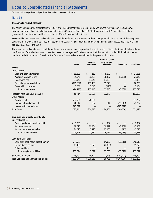(in thousands, except share and per share data, unless otherwise indicated)

# Note 12

# **GUARANTOR FINANCIAL INFORMATION**

The senior notes and the credit facility are fully and unconditionally guaranteed, jointly and severally, by each of the Company's existing and future domestic wholly owned subsidiaries (Guarantor Subsidiaries). The Company's non-U.S. subsidiaries did not guarantee the senior notes and the credit facility (Non-Guarantor Subsidiaries).

Presented below are summarized condensed consolidating financial statements of the Parent (which include certain of the Company's operating units), the Guarantor Subsidiaries, the Non-Guarantor Subsidiaries and the Company on a consolidated basis, as of December 31, 2002, 2001, and 2000.

These summarized condensed consolidating financial statements are prepared on the equity method. Separate financial statements for the Guarantor Subsidiaries are not presented based on management's determination that they do not provide additional information that is material to investors. Therefore, the Guarantor Subsidiaries are combined in the presentation below.

|                                            | December 31, 2002 |                                         |                                             |                     |                     |  |
|--------------------------------------------|-------------------|-----------------------------------------|---------------------------------------------|---------------------|---------------------|--|
|                                            | <b>Parent</b>     | <b>Guarantor</b><br><b>Subsidiaries</b> | <b>Non-Guarantor</b><br><b>Subsidiaries</b> | <b>Eliminations</b> | <b>Consolidated</b> |  |
| <b>Assets</b>                              |                   |                                         |                                             |                     |                     |  |
| <b>Current Assets:</b>                     |                   |                                         |                                             |                     |                     |  |
| Cash and cash equivalents                  | \$18,698          | \$<br>167                               | 8,370<br>\$                                 | \$                  | 27,235<br>\$        |  |
| Accounts receivable, net                   | 35,941            | 30,295                                  | 16,137                                      | (3,031)             | 79,342              |  |
| Inventories, net                           | 23,940            | 13,346                                  | 13,853                                      |                     | 51,139              |  |
| Prepaid expenses and other                 | (175, 807)        | 168,489                                 | 19,373                                      |                     | 12,055              |  |
| Deferred income taxes                      | 3,051             | 3,043                                   | (190)                                       |                     | 5,904               |  |
| Total current assets                       | (94, 177)         | 215,340                                 | 57,543                                      | (3,031)             | 175,675             |  |
| Property, Plant and Equipment, net         | 55,714            | 33,875                                  | 22,249                                      |                     | 111,838             |  |
| <b>Other Assets:</b>                       |                   |                                         |                                             |                     |                     |  |
| Goodwill, net                              | 234,701           | 20,591                                  |                                             |                     | 255,292             |  |
| Investments and other, net                 | 40,514            | 507                                     | 914                                         | (13,613)            | 28,322              |  |
| Investment in subsidiaries                 | 287,092           |                                         |                                             | (287,092)           |                     |  |
| <b>Total Assets</b>                        | \$523,844         | \$270,313                               | \$ 80,706                                   | \$(303,736)         | \$571,127           |  |
| Liabilities and Shareholders' Equity       |                   |                                         |                                             |                     |                     |  |
| <b>Current Liabilities:</b>                |                   |                                         |                                             |                     |                     |  |
| Current portion of long-term debt          | \$<br>1,000       | \$                                      | \$<br>992                                   | \$                  | \$<br>1,992         |  |
| Accounts payable                           | 19,025            | 16,864                                  | 10,219                                      | (2,957)             | 43,151              |  |
| Accrued expenses and other                 | 24,523            | 5,423                                   | 15,200                                      | (76)                | 45,070              |  |
| <b>Total current liabilities</b>           | 44,548            | 22,287                                  | 26,411                                      | (3,033)             | 90,213              |  |
| Long-Term Liabilities:                     |                   |                                         |                                             |                     |                     |  |
| Long-term debt, net of current portion     | 247,563           |                                         | 14,966                                      | (13,611)            | 248,918             |  |
| Deferred income taxes                      | 15,498            | 3,879                                   | (4,099)                                     |                     | 15,278              |  |
| Other liabilities                          | 333               |                                         | 483                                         |                     | 816                 |  |
| Total long-term liabilities                | 263,394           | 3,879                                   | 11,350                                      | (13,611)            | 265,012             |  |
| Shareholders' Equity                       | 215,902           | 244,147                                 | 42,945                                      | (287,092)           | 215,902             |  |
| Total Liabilities and Shareholders' Equity | \$523,844         | \$270,313                               | \$80,706                                    | \$(303,736)         | \$571,127           |  |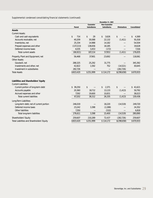|                                             | December 31, 2001 |                     |                      |                     |                     |
|---------------------------------------------|-------------------|---------------------|----------------------|---------------------|---------------------|
|                                             |                   | <b>Guarantor</b>    | <b>Non-Guarantor</b> |                     |                     |
|                                             | <b>Parent</b>     | <b>Subsidiaries</b> | <b>Subsidiaries</b>  | <b>Eliminations</b> | <b>Consolidated</b> |
| <b>Assets</b>                               |                   |                     |                      |                     |                     |
| <b>Current Assets:</b>                      |                   |                     |                      |                     |                     |
| Cash and cash equivalents                   | \$<br>714         | \$<br>29            | 3,626<br>\$          | \$                  | \$<br>4,369         |
| Accounts receivable, net                    | 40,209            | 30,088              | 22,132               | (1, 411)            | 91,018              |
| Inventories, net                            | 25,334            | 14,988              | 14,182               |                     | 54,504              |
| Prepaid expenses and other                  | (137, 213)        | 138,656             | 18,185               |                     | 19,628              |
| Deferred income taxes                       | 4,035             | 3,453               | (172)                |                     | 7,316               |
| <b>Total current assets</b>                 | (66, 921)         | 187,214             | 57,953               | (1, 411)            | 176,835             |
| Property, Plant and Equipment, net          | 56,468            | 37,901              | 23,692               |                     | 118,061             |
| <b>Other Assets:</b><br>Goodwill, net       | 288,325           | 25,292              | 31,775               |                     | 345,392             |
| Investments and other, net                  | 42,822            | 1,592               | 752                  | (14, 521)           | 30,645              |
| Investment in subsidiaries                  | 282,726           |                     |                      | (282, 726)          |                     |
| <b>Total Assets</b>                         | \$603,420         | \$251,999           | \$114,172            | \$(298,658)         | \$670,933           |
| <b>Liabilities and Shareholders' Equity</b> |                   |                     |                      |                     |                     |
| <b>Current Liabilities:</b>                 |                   |                     |                      |                     |                     |
| Current portion of long-term debt           | \$39,250          | \$                  | 2,371<br>\$          | \$                  | 41,621<br>\$        |
| Accounts payable                            | 20,360            | 18,712              | 13,133               | (1, 413)            | 50,792              |
| Accrued expenses and other                  | 7,592             | 19,600              | 10,831               |                     | 38,023              |
| <b>Total current liabilities</b>            | 67,202            | 38,312              | 26,335               | (1, 413)            | 130,436             |
| Long-Term Liabilities:                      |                   |                     |                      |                     |                     |
| Long-term debt, net of current portion      | 246,019           |                     | 18,220               | (14, 519)           | 249,720             |
| Deferred income taxes                       | 23,242            | 3,398               | (2, 288)             |                     | 24,352              |
| <b>Other liabilities</b>                    | 7,350             |                     | (532)                |                     | 6,818               |
| Total long-term liabilities                 | 276,611           | 3,398               | 15,400               | (14, 519)           | 280,890             |
| Shareholders' Equity                        | 259,607           | 210,289             | 72,437               | (282, 726)          | 259,607             |
| Total Liabilities and Shareholders' Equity  | \$603,420         | \$251,999           | \$114,172            | \$(298,658)         | \$670,933           |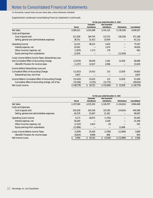(in thousands, except share and per share data, unless otherwise indicated)

|                                                       | For the year ended December 31, 2002 |                     |                      |                     |                     |
|-------------------------------------------------------|--------------------------------------|---------------------|----------------------|---------------------|---------------------|
|                                                       |                                      | <b>Guarantor</b>    | <b>Non-Guarantor</b> |                     |                     |
|                                                       | <b>Parent</b>                        | <b>Subsidiaries</b> | <b>Subsidiaries</b>  | <b>Eliminations</b> | <b>Consolidated</b> |
| <b>Net Sales</b>                                      | \$280,221                            | \$254,389           | \$141,125            | \$ (39,228)         | \$636,507           |
| <b>Costs and Expenses:</b>                            |                                      |                     |                      |                     |                     |
| Cost of goods sold                                    | 211,939                              | 184,745             | 113,732              | (39, 228)           | 471,188             |
| Selling, general and administrative expenses          | 36,751                               | 31,422              | 23,959               |                     | 92,132              |
| Operating Income                                      | 31,531                               | 38,222              | 3,434                |                     | 73,187              |
| Interest expense, net                                 | 33,542                               |                     | 1,074                |                     | 34,616              |
| Other (income) expense, net                           | (1,870)                              | 2,173               | 179                  |                     | 482                 |
| Equity earnings from subsidiaries                     | 12,929                               |                     |                      | (12, 929)           |                     |
| (Loss) Income Before Income Taxes, Extraordinary Loss |                                      |                     |                      |                     |                     |
| and Cumulative Effect of Accounting Change            | (13,070)                             | 36,049              | 2,181                | 12,929              | 38,089              |
| (Benefit) Provision for income taxes                  | (1,257)                              | 12,617              | 2,066                |                     | 13,426              |
| Income Before Extraordinary Loss and                  |                                      |                     |                      |                     |                     |
| <b>Cumulative Effect of Accounting Change</b>         | (11, 813)                            | 23,432              | 115                  | 12,929              | 24,663              |
| Extraordinary loss, net of tax                        | 3,607                                |                     |                      |                     | 3,607               |
| Income Before Cumulative Effect of Accounting Change  | (15, 420)                            | 23,432              | 115                  | 12,929              | 21,056              |
| Cumulative effect of accounting change, net of tax    | (33, 358)                            | (4,701)             | (31, 775)            |                     | (69, 834)           |
| Net (Loss) Income                                     | \$ (48,778)                          | 18,731<br>\$        | \$ (31,660)          | \$12,929            | \$ (48,778)         |

|                                              | For the year ended December 31, 2001 |                     |                      |                     |                     |
|----------------------------------------------|--------------------------------------|---------------------|----------------------|---------------------|---------------------|
|                                              |                                      | <b>Guarantor</b>    | <b>Non-Guarantor</b> |                     |                     |
|                                              | Parent                               | <b>Subsidiaries</b> | <b>Subsidiaries</b>  | <b>Eliminations</b> | <b>Consolidated</b> |
| <b>Net Sales</b>                             | \$257,180                            | \$225,205           | \$126,707            | \$ (24,624)         | \$584,468           |
| Costs and Expenses:                          |                                      |                     |                      |                     |                     |
| Cost of goods sold                           | 201,628                              | 165,226             | 107.156              | (24, 624)           | 449,386             |
| Selling, general and administrative expenses | 46,379                               | 31,907              | 21,301               |                     | 99,587              |
| Operating (Loss) Income                      | 9.173                                | 28.072              | (1,750)              |                     | 35,495              |
| Interest expense, net                        | 30,269                               |                     | 1,039                |                     | 31,308              |
| Other (income) expense, net                  | (2,322)                              | 2,622               | (9)                  |                     | 291                 |
| Equity earnings from subsidiaries            | (12,896)                             |                     |                      | 12,896              |                     |
| (Loss) Income Before Income Taxes            | (5,878)                              | 25,450              | (2,780)              | (12,896)            | 3,896               |
| (Benefit) Provision for income taxes         | (8,824)                              | 8,908               | 866                  |                     | 950                 |
| Net Income (Loss)                            | 2,946                                | 16,542<br>\$        | (3,646)<br>\$        | \$ (12,896)         | 2,946               |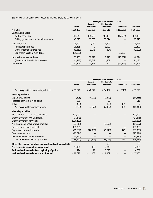|                                              | For the year ended December 31, 2000 |                     |                      |                     |                     |
|----------------------------------------------|--------------------------------------|---------------------|----------------------|---------------------|---------------------|
|                                              |                                      | <b>Guarantor</b>    | <b>Non-Guarantor</b> |                     |                     |
|                                              | <b>Parent</b>                        | <b>Subsidiaries</b> | <b>Subsidiaries</b>  | <b>Eliminations</b> | <b>Consolidated</b> |
| <b>Net Sales</b>                             | \$286,172                            | \$261,675           | \$131,911            | \$(12,566)          | \$667,192           |
| <b>Costs and Expenses:</b>                   |                                      |                     |                      |                     |                     |
| Cost of goods sold                           | 214,649                              | 186,569             | 107.428              | (12,566)            | 496,080             |
| Selling, general and administrative expenses | 43,316                               | 33,056              | 19,574               |                     | 95,946              |
| Operating Income                             | 28,207                               | 42.050              | 4.909                |                     | 75,166              |
| Interest expense, net                        | 26,485                               |                     | 3,000                |                     | 29,492              |
| Other (income) expense, net                  | (3,862)                              | 3,046               | (304)                |                     | (1, 120)            |
| Equity earnings from subsidiaries            | (25, 852)                            |                     |                      | 25,852              |                     |
| Income Before Income Taxes                   | 31,436                               | 38,997              | 2,213                | (25, 852)           | 46,794              |
| (Benefit) Provision for income taxes         | (1,273)                              | 13,649              | 1,709                |                     | 14,085              |
| Net Income                                   | 32,709                               | \$25,348            | 504<br>\$            | \$ (25,852)         | \$32,709            |

|                                                              | For the year ended December 31, 2002 |                     |                      |                     |                     |  |  |
|--------------------------------------------------------------|--------------------------------------|---------------------|----------------------|---------------------|---------------------|--|--|
|                                                              |                                      | <b>Guarantor</b>    | <b>Non-Guarantor</b> |                     |                     |  |  |
|                                                              | <b>Parent</b>                        | <b>Subsidiaries</b> | <b>Subsidiaries</b>  | <b>Eliminations</b> | <b>Consolidated</b> |  |  |
| Net cash provided by operating activities                    | \$33,971                             | \$48,077            | \$14,487             | (910)<br>\$         | \$95,625            |  |  |
| <b>Investing Activities:</b>                                 |                                      |                     |                      |                     |                     |  |  |
| Capital expenditures                                         | (7,505)                              | (4, 972)            | (2, 179)             |                     | (14,656)            |  |  |
| Proceeds from sale of fixed assets                           | 221                                  |                     | 90                   |                     | 311                 |  |  |
| Other                                                        | (39)                                 |                     | (393)                | 434                 | 2                   |  |  |
| Net cash used for investing activities                       | (7, 323)                             | (4, 972)            | (2, 482)             | 434                 | (14, 343)           |  |  |
| <b>Financing Activities:</b>                                 |                                      |                     |                      |                     |                     |  |  |
| Proceeds from issuance of senior notes                       | 200,000                              |                     |                      |                     | 200,000             |  |  |
| Extinguishment of revolving facility                         | (37,641)                             |                     |                      |                     | (37,641)            |  |  |
| Extinguishment of term debt                                  | (226, 139)                           |                     |                      |                     | (226, 139)          |  |  |
| Net repayments under revolving facilities                    | (13,019)                             |                     | (1, 378)             |                     | (14, 397)           |  |  |
| Proceeds from long-term debt                                 | 100,000                              |                     |                      |                     | 100,000             |  |  |
| Repayments of long-term debt                                 | (15, 897)                            | (42,966)            | (6,643)              | 476                 | (65,030)            |  |  |
| Debt issuance costs                                          | (10,694)                             |                     |                      |                     | (10,694)            |  |  |
| Interest rate swap termination costs                         | (5,274)                              |                     |                      |                     | (5,274)             |  |  |
| Net cash used for financing activities                       | (8,664)                              | (42,966)            | (8,021)              | 476                 | (59, 175)           |  |  |
| Effect of exchange rate changes on cash and cash equivalents |                                      |                     | 759                  |                     | 759                 |  |  |
| Net change in cash and cash equivalents                      | 17,984                               | 139                 | 4,743                |                     | 22,866              |  |  |
| Cash and cash equivalents at beginning of period             | 714                                  | 29                  | 3,626                |                     | 4,369               |  |  |
| Cash and cash equivalents at end of period                   | \$18,698                             | \$<br>168           | \$<br>8,369          | \$                  | 27,235<br>\$        |  |  |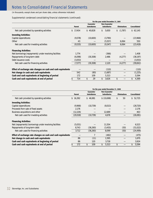(in thousands, except share and per share data, unless otherwise indicated)

|                                                              | For the year ended December 31, 2001 |               |    |  |                                         |    |                                             |                     |                     |
|--------------------------------------------------------------|--------------------------------------|---------------|----|--|-----------------------------------------|----|---------------------------------------------|---------------------|---------------------|
|                                                              |                                      | <b>Parent</b> |    |  | <b>Guarantor</b><br><b>Subsidiaries</b> |    | <b>Non-Guarantor</b><br><b>Subsidiaries</b> | <b>Eliminations</b> | <b>Consolidated</b> |
| Net cash provided by operating activities                    | \$                                   | 17,454        |    |  | \$40,828                                | \$ | 5,650                                       | \$<br>(1,787)       | \$62,145            |
| <b>Investing Activities:</b>                                 |                                      |               |    |  |                                         |    |                                             |                     |                     |
| Capital expenditures                                         |                                      | (9,578)       |    |  | (10,600)                                |    | (3,790)                                     |                     | (23,968)            |
| Other                                                        |                                      | 43            |    |  |                                         |    | (5, 557)                                    | 6,064               | 550                 |
| Net cash used for investing activities                       |                                      | (9,535)       |    |  | (10,600)                                |    | (9, 347)                                    | 6,064               | (23, 418)           |
| <b>Financing Activities:</b>                                 |                                      |               |    |  |                                         |    |                                             |                     |                     |
| Net borrowings (repayments) under revolving facilities       |                                      | 1,774         |    |  |                                         |    | (366)                                       |                     | 1,408               |
| Repayments of long-term debt                                 |                                      | (6,098)       |    |  | (30, 308)                               |    | 2,486                                       | (4,277)             | (38, 197)           |
| Debt issuance costs                                          |                                      | (3,053)       |    |  |                                         |    |                                             |                     | (3,053)             |
| Net cash used for financing activities                       |                                      | (7, 377)      |    |  | (30, 308)                               |    | 2,120                                       | (4,277)             | (39, 842)           |
| Effect of exchange rate changes on cash and cash equivalents |                                      |               |    |  |                                         |    | (110)                                       |                     | (110)               |
| Net change in cash and cash equivalents                      |                                      | 542           |    |  | (80)                                    |    | (1,687)                                     |                     | (1, 225)            |
| Cash and cash equivalents at beginning of period             |                                      | 172           |    |  | 109                                     |    | 5,313                                       |                     | 5,594               |
| Cash and cash equivalents at end of period                   |                                      | 714           | \$ |  | 29                                      |    | 3,626                                       | \$                  | 4,369               |

|                                                              |               |    |                                         | For the year ended December 31, 2000        |                     |                     |
|--------------------------------------------------------------|---------------|----|-----------------------------------------|---------------------------------------------|---------------------|---------------------|
|                                                              | <b>Parent</b> |    | <b>Guarantor</b><br><b>Subsidiaries</b> | <b>Non-Guarantor</b><br><b>Subsidiaries</b> | <b>Eliminations</b> | <b>Consolidated</b> |
| Net cash provided by operating activities                    | \$16,392      |    | \$46,981                                | \$ (10,698)                                 | \$<br>50            | \$52,725            |
| <b>Investing Activities:</b>                                 |               |    |                                         |                                             |                     |                     |
| Capital expenditures                                         | (9,968)       |    | (10, 739)                               | (8,013)                                     |                     | (28, 720)           |
| Proceeds from sale of fixed assets                           | 2,176         |    |                                         |                                             |                     | 2,176               |
| Business acquisitions and other                              | (12, 226)     |    |                                         | 12,689                                      |                     | 463                 |
| Net cash used for investing activities                       | (20,018)      |    | (10, 739)                               | 4,676                                       |                     | (26,081)            |
| <b>Financing Activities:</b>                                 |               |    |                                         |                                             |                     |                     |
| Net (repayments) borrowings under revolving facilities       | (5,031)       |    |                                         | 11,554                                      |                     | 6,523               |
| Repayments of long-term debt                                 | 8,743         |    | (36,260)                                | (3, 455)                                    | (50)                | (31, 022)           |
| Net cash used for financing activities                       | 3,712         |    | (36, 260)                               | 8,099                                       | (50)                | (24, 499)           |
| Effect of exchange rate changes on cash and cash equivalents |               |    | 7                                       | (482)                                       |                     | (475)               |
| Net change in cash and cash equivalents                      | 86            |    | (11)                                    | 1,595                                       |                     | 1,670               |
| Cash and cash equivalents at beginning of period             | 86            |    | 120                                     | 3,718                                       |                     | 3,924               |
| Cash and cash equivalents at end of period                   | \$<br>172     | \$ | 109                                     | \$<br>5,313                                 |                     | 5,594               |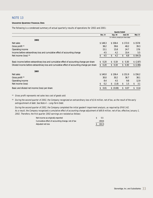# NOTE 13

# **UNAUDITED QUARTERLY FINANCIAL DATA**

The following is a condensed summary of actual quarterly results of operations for 2002 and 2001:

|                                                                                               | <b>Quarter Ended</b> |             |                                      |                |
|-----------------------------------------------------------------------------------------------|----------------------|-------------|--------------------------------------|----------------|
|                                                                                               | Dec. 31              | Sep. 30     | June 30                              | <b>Mar. 31</b> |
|                                                                                               |                      |             | (in millions, except per share data) |                |
| 2002                                                                                          |                      |             |                                      |                |
| Net sales                                                                                     | \$148.3              | \$158.4     | \$172.0                              | \$157.8        |
| Gross profit <sup>(A)</sup>                                                                   | 38.2                 | 39.6        | 48.2                                 | 39.3           |
| Operating income                                                                              | 15.1                 | 15.8        | 24.7                                 | 17.6           |
| Income before extraordinary loss and cumulative effect of accounting change                   | 4.5                  | 4.2         | 10.4                                 | 5.5            |
| Net income (loss) $(B)$                                                                       | 4.5<br>S             | 4.2<br>\$   | \$<br>6.8                            | \$ (64.3)      |
| Basic income before extraordinary loss and cumulative effect of accounting change per share   | 0.20<br>\$           | \$0.19      | \$0.30                               | \$(2.87)       |
| Diluted income before extraordinary loss and cumulative effect of accounting change per share | 0.20<br>\$           | \$0.19      | \$0.30                               | \$(2.86)       |
| 2001                                                                                          |                      |             |                                      |                |
| Net sales                                                                                     | \$140.0              | \$136.4     | \$151.9                              | \$156.2        |
| Gross profit <sup>(A)</sup>                                                                   | 30.0                 | 30.2        | 36.7                                 | 38.1           |
| Operating income                                                                              | 8.4                  | 4.5         | 9.8                                  | 12.9           |
| Net income (loss)                                                                             | \$<br>0.2            | (1.8)<br>\$ | \$<br>1.5                            | 3.1<br>\$      |
| Basic and diluted net income (loss) per share                                                 | \$<br>0.01           | \$ (0.08)   | 0.07<br>\$                           | 0.14<br>\$     |

(A) Gross profit represents net sales less cost of goods sold.

(B) During the second quarter of 2002, the Company recognized an extraordinary loss of \$3.6 million, net of tax, as the result of the early extinguishment of debt. See Note 4 – Long-Term Debt.

During the second quarter of 2002, the Company completed the initial goodwill impairment analysis, as required by SFAS 142. As a result, the Company recognized a cumulative effect of accounting change adjustment of \$69.8 million, net of tax, effective January 1, 2002. Therefore, the first quarter 2002 earnings are restated as follows:

| Net income as originally reported                  | 5.5       |
|----------------------------------------------------|-----------|
| Cumulative effect of accounting change, net of tax | (69.8)    |
| Adjusted net loss                                  | \$ (64.3) |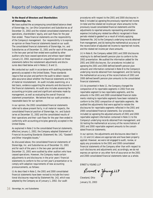# **To the Board of Directors and Shareholders of Stoneridge, Inc.**

We have audited the accompanying consolidated balance sheet of Stoneridge, Inc. (an Ohio Corporation) and Subsidiaries as of December 31, 2002 and the related consolidated statements of operations, shareholders' equity, and cash flows for the year then ended. These financial statements are the responsibility of the Company's management. Our responsibility is to express an opinion on these financial statements based on our audit. The consolidated financial statements of Stoneridge, Inc. and Subsidiaries as of December 31, 2001 and for each of the years in the two-year period then ended were audited by other auditors who have ceased operations and whose report dated January 22, 2002, expressed an unqualified opinion on those statements before the restatement adjustments and disclosures described below and in Notes 2, 8 and 11.

We conducted our audit in accordance with auditing standards generally accepted in the United States. Those standards require that we plan and perform the audit to obtain reasonable assurance about whether the financial statements are free of material misstatement. An audit includes examining, on a test basis, evidence supporting the amounts and disclosures in the financial statements. An audit also includes assessing the accounting principles used and significant estimates made by management, as well as evaluating the overall financial statement presentation. We believe that our audit provides a reasonable basis for our opinion.

In our opinion, the 2002 consolidated financial statements referred to above present fairly, in all material respects, the consolidated financial position of Stoneridge, Inc. and Subsidiaries at December 31, 2002 and the consolidated results of their operations and their cash flows for the year then ended in conformity with accounting principles generally accepted in the United States.

As explained in Note 2 to the consolidated financial statements, effective January 1, 2002, the Company adopted Statement of Financial Accounting Standards (Statement) No. 142, "Goodwill and Other Intangible Assets."

As discussed above, the consolidated financial statements of Stoneridge, Inc. and Subsidiaries as of December 31, 2001 and for each of the years in the two-year period ended December 31, 2001 were audited by other auditors who have ceased operations. However, the Company made certain adjustments to and disclosures in the prior years' financial statements to conform to the current year's presentation or to comply with adoption requirements of new accounting pronouncements, as follows:

(i) As described in Note 2, the 2001 and 2000 consolidated financial statements have been revised to include the transitional disclosures required by Statement No. 142, which was adopted by the Company as of January 1, 2002. Our audit

procedures with respect to the 2001 and 2000 disclosures in Note 2 included (a) agreeing the previously reported net income (in total and the related net income per share amounts) to the previously issued consolidated financial statements and the adjustments to reported amounts representing amortization expense (including any related tax effects) recognized in those periods related to goodwill as a result of initially applying Statement No. 142 to the Company's underlying records obtained from management, and (b) testing the mathematical accuracy of the reconciliation of adjusted net income to reported net income, and the related net income per share amounts.

(ii) In Note 8, the Company added 2001 and 2000 disclosures relating to its defined benefit pension plan to conform to the 2002 presentation. We audited the information added for the 2001 and 2000 disclosures. Our procedures included (a) agreeing the 2001 and 2000 defined benefit pension plan amounts and information contained in Note 8 to the Company's underlying records obtained from management, and (b) testing the mathematical accuracy of the reconciliations of 2001 and 2000 defined benefit pension plan amounts to the consolidated financial statements.

(iii) As presented in Note 11, the Company changed the composition of its reportable segments in 2002 from one reportable segment to two reportable segments, and the amounts in the 2001 and 2000 consolidated financial statements relating to reportable segments have been restated to conform to the 2002 composition of reportable segments. We audited the adjustments that were applied to restate the disclosures for reportable segments reflected in the 2001 and 2000 consolidated financial statements. Our procedures included (a) agreeing the adjusted amounts of 2001 and 2000 reportable segment information contained in Note 11 to the Company's underlying records obtained from management, and (b) testing the mathematical accuracy of the reconciliations of 2001 and 2000 reportable segment amounts to the consolidated financial statements.

In our opinion, the adjustments and disclosures described in (i), (ii) and (iii) above are appropriate and have been properly applied. However, we were not engaged to audit, review, or apply any procedures to the 2001 and 2000 consolidated financial statements of the Company other than with respect to such disclosures and adjustments and, accordingly, we do not express an opinion or any other form of assurance on the 2001 and 2000 consolidated financial statements taken as a whole.

ERNST & YOUNG LLP

Ernet + Young LLP

January 31, 2003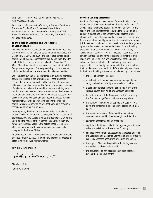# This report is a copy and has not been reissued by Arthur Andersen LLP.

This report references the Company's Balance Sheet as of December 31, 2000 and its related Consolidated Statements of Income, Shareholders' Equity and Cash Flows for the period ended December 31, 1999, which are not presented here.

# **To the Board of Directors and Shareholders of Stoneridge, Inc.**

We have audited the accompanying consolidated balance sheets of Stoneridge, Inc. (an Ohio corporation) and Subsidiaries as of December 31, 2001 and 2000, and the related consolidated statements of income, shareholders' equity and cash flows for each of the three years in the period ended December 31, 2001. These financial statements are the responsibility of the Company's management. Our responsibility is to express an opinion on these financial statements based on our audits.

We conducted our audits in accordance with auditing standards generally accepted in the United States. Those standards require that we plan and perform the audit to obtain reasonable assurance about whether the financial statements are free of material misstatement. An audit includes examining, on a test basis, evidence supporting the amounts and disclosures in the financial statements. An audit also includes assessing the accounting principles used and significant estimates made by management, as well as evaluating the overall financial statement presentation. We believe that our audits provide a reasonable basis for our opinion.

In our opinion, the financial statements referred to above present fairly, in all material respects, the financial position of Stoneridge, Inc. and Subsidiaries as of December 31, 2001 and 2000, and the results of their operations and their cash flows for each of the three years in the period ended December 31, 2001, in conformity with accounting principles generally accepted in the United States.

As explained in Note 2 to the consolidated financial statements, effective January 1, 2001, the Company changed its method of accounting for derivative instruments.

ARTHUR ANDERSEN LLP

Arthur Andersen LLP

Cleveland, Ohio, January 22, 2002.

#### **Forward-Looking Statements**

Portions of this report may contain "forward-looking statements" under the Private Securities Litigation Reform Act of 1995. These statements appear in a number of places in this report and include statements regarding the intent, belief or current expectations of the Company, its directors or its officers with respect to, among other things, the Company's (i) future product and facility expansion, (ii) acquisition strategy, (iii) investments and new product development, and (iv) growth opportunities related to awarded business. Forward-looking statements may be identified by the words "will," "may," "designed to," "believes," "plans," "expects," "continue," and similar expressions. The forward-looking statements in this report are subject to risks and uncertainties that could cause actual events or results to differ materially from those expressed in or implied by the statements. Important factors that could cause actual results to differ materially from those in the forward-looking statements include, among other factors:

- the loss of a major customer;
- a decline in automotive, medium- and heavy-duty truck or agricultural and off-highway vehicle production;
- a decline in general economic conditions in any of the various countries in which the Company operates;
- labor disruptions at the Company's facilities or at any of the Company's significant customers or suppliers;
- the ability of the Company's suppliers to supply it with parts and components at competitive prices on a timely basis;
- the significant amount of debt and the restrictive covenants contained in the Company's credit facility;
- customer acceptance of new products;
- capital availability or costs, including changes in interest rates or market perceptions of the Company;
- changes by the Financial Accounting Standards Board or the Securities and Exchange Commission of authoritative generally accepted accounting principles or policies;
- the impact of laws and regulations, including environmental laws and regulations; and
- the occurrence or non-occurrence of circumstances beyond the Company's control.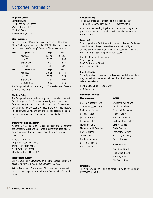# Corporate Information

# **Corporate Offices**

Stoneridge, Inc. 9400 East Market Street Warren, Ohio 44484 330/856-2443 www.stoneridge.com

# **Stock Exchange**

Common Shares of Stoneridge are traded on the New York Stock Exchange under the symbol SRI. The historical high and low prices of the Company's Common Shares are as follows:

| 2002 | <b>Quarter Ended</b> | <b>High</b> | Low        |  |
|------|----------------------|-------------|------------|--|
|      | March 31             | \$11.40     | \$7.51     |  |
|      | June 30              | 19.30       | 9.85       |  |
|      | September 30         | 19.02       | 15.15      |  |
|      | December 31          | 17.15       | 7.05       |  |
|      |                      |             |            |  |
| 2001 | <b>Ouarter Ended</b> | High        | Low        |  |
|      | March 31             | 9.15<br>\$  | 4.75<br>\$ |  |
|      | June 30              | 12.00       | 6.75       |  |
|      | September 30         | 11.60       | 7.00       |  |

The Company had approximately 1,200 shareholders of record on March 21, 2003.

# **Dividend Policy**

The Company has not declared any cash dividends in the last four fiscal years. The Company presently expects to retain all future earnings for use in its business and therefore does not anticipate paying any cash dividends in the foreseeable future. In addition, the Company's senior notes and credit agreement impose limitations on the amounts of dividends that can be paid.

## **Transfer Agent and Registrar**

National City Bank acts as the Transfer Agent and Registrar for the Company. Questions on change of ownership, total shares owned, consolidation of accounts and other such matters should be sent to:

National City Bank Corporate Trust Operations Third Floor, North Annex 4100 West 150th Street Cleveland, Ohio 44135-1385

## **Independent Auditors**

Ernst & Young LLP, Cleveland, Ohio, is the independent public accounting firm retained by the Company in 2002.

Arthur Andersen LLP, Cleveland, Ohio, was the independent public accounting firm retained by the Company in 2001 and 2000.

# **Annual Meeting**

The annual meeting of shareholders will take place at 10:00 a.m., Monday, May 12, 2003, in Warren, Ohio.

A notice of the meeting, together with a form of proxy and a proxy statement, will be mailed to shareholders on or about April 3, 2003.

# **Form 10-K**

Stoneridge's Form 10-K filed with the Securities and Exchange Commission for the year ended December 31, 2002, is available without cost to shareholders through our website at www.stoneridge.com or upon written request to:

Investor Relations Department Stoneridge, Inc. 9400 East Market Street Warren, Ohio 44484

## **Investor Relations**

Security analysts, investment professionals and shareholders may request information and should direct their businessrelated inquiries to:

Kevin Bagby, Chief Financial Officer 330/856-2443

## **Worldwide Facilities**

| <b>NORTH AMERICA</b>   | <b>EUROPE</b>        |  |  |  |  |
|------------------------|----------------------|--|--|--|--|
| Boston, Massachusetts  | Cheltenham, England  |  |  |  |  |
| Canton, Massachusetts  | Dundee, Scotland     |  |  |  |  |
| Chihuahua, Mexico      | Frankfurt, Germany   |  |  |  |  |
| El Paso, Texas         | Madrid, Spain        |  |  |  |  |
| Juarez, Mexico         | Munich, Germany      |  |  |  |  |
| Lexington, Ohio        | Northampton, England |  |  |  |  |
| Mansfield, Ohio        | Orebro, Sweden       |  |  |  |  |
| Mebane, North Carolina | Paris, France        |  |  |  |  |
| Novi, Michigan         | Stockholm, Sweden    |  |  |  |  |
| Orwell, Ohio           | Stuttgart, Germany   |  |  |  |  |
| Portland, Indiana      | Tallinn, Estonia     |  |  |  |  |
| Sarasota, Florida      | <b>SOUTH AMERICA</b> |  |  |  |  |
| Warren, Ohio           |                      |  |  |  |  |
|                        | Campinae Rrazil      |  |  |  |  |

Campinas, Brazil Indaiatuba, Brazil Manaus, Brazil São Paulo, Brazil

## **Employees**

The Company employed approximately 5,500 employees as of December 31, 2002.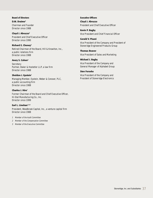# **Board of Directors**

**D.M. Draime3** Chairman and Founder Director since 1988

**Cloyd J. Abruzzo3** President and Chief Executive Officer Director since 1990

# **Richard E. Cheney2**

Retired Chairman of the Board, Hill & Knowlton, Inc., a public relations firm Director since 1988

# **Avery S. Cohen3**

Secretary Partner, Baker & Hostetler LLP, a law firm Director since 1988

# **Sheldon J. Epstein<sup>1</sup>**

Managing Member, Epstein, Weber & Conover, PLC, a public accounting firm Director since 1988

# **Charles J. Hire1**

Former Chairman of the Board and Chief Executive Officer, Hi-Stat Manufacturing Co., Inc. Director since 1999

# **Earl L. Linehan1,2,3**

President, Woodbrook Capital, Inc., a venture capital firm Director since 1988

## 1 Member of the Audit Committee

- 2 Member of the Compensation Committee
- 3 Member of the Executive Committee

**Executive Officers Cloyd J. Abruzzo** President and Chief Executive Officer

**Kevin P. Bagby** Vice President and Chief Financial Officer

**Gerald V. Pisani** Vice President of the Company and President of Stoneridge Engineered Products Group

**Thomas Beaver** Vice President of Sales and Marketing

**Michael J. Bagby** Vice President of the Company and General Manager of Alphabet Group

# **Sten Forseke**

Vice President of the Company and President of Stoneridge Electronics